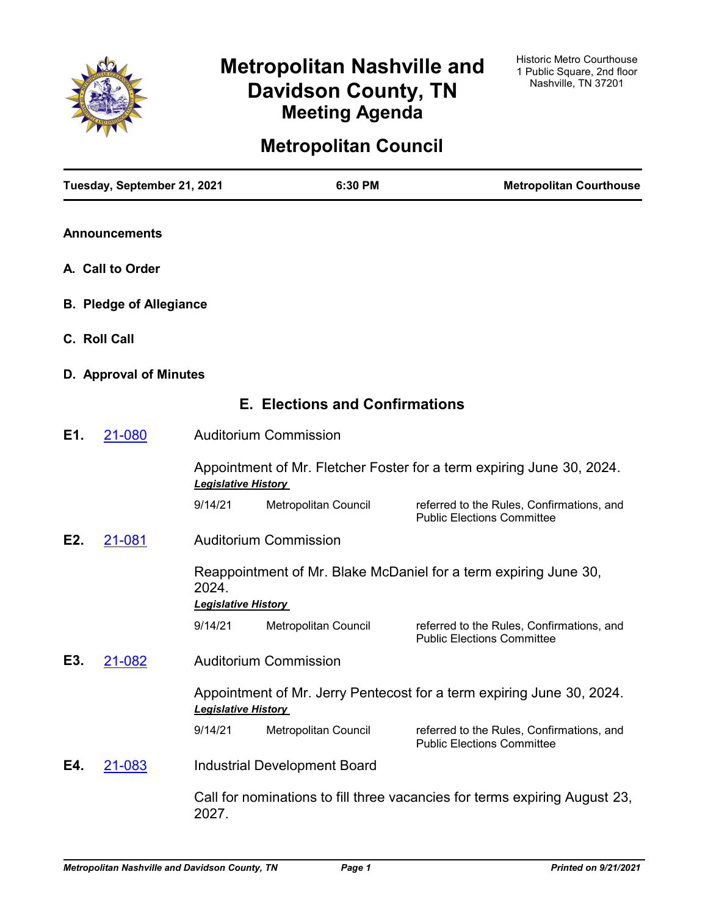

# **Metropolitan Nashville and Davidson County, TN Meeting Agenda**

# **Metropolitan Council**

|              | Tuesday, September 21, 2021    |                            | 6:30 PM                               | <b>Metropolitan Courthouse</b>                                                 |
|--------------|--------------------------------|----------------------------|---------------------------------------|--------------------------------------------------------------------------------|
|              | <b>Announcements</b>           |                            |                                       |                                                                                |
|              | A. Call to Order               |                            |                                       |                                                                                |
|              | <b>B. Pledge of Allegiance</b> |                            |                                       |                                                                                |
| C. Roll Call |                                |                            |                                       |                                                                                |
|              | D. Approval of Minutes         |                            |                                       |                                                                                |
|              |                                |                            | <b>E. Elections and Confirmations</b> |                                                                                |
| E1.          | 21-080                         |                            | <b>Auditorium Commission</b>          |                                                                                |
|              |                                | <b>Legislative History</b> |                                       | Appointment of Mr. Fletcher Foster for a term expiring June 30, 2024.          |
|              |                                | 9/14/21                    | Metropolitan Council                  | referred to the Rules, Confirmations, and<br><b>Public Elections Committee</b> |
| E2.          | 21-081                         |                            | <b>Auditorium Commission</b>          |                                                                                |
|              |                                | 2024.                      |                                       | Reappointment of Mr. Blake McDaniel for a term expiring June 30,               |
|              |                                | <b>Legislative History</b> |                                       |                                                                                |
|              |                                | 9/14/21                    | Metropolitan Council                  | referred to the Rules, Confirmations, and<br><b>Public Elections Committee</b> |
| E3.          | 21-082                         |                            | <b>Auditorium Commission</b>          |                                                                                |
|              |                                | <b>Legislative History</b> |                                       | Appointment of Mr. Jerry Pentecost for a term expiring June 30, 2024.          |
|              |                                | 9/14/21                    | Metropolitan Council                  | referred to the Rules, Confirmations, and<br><b>Public Elections Committee</b> |
| E4.          | 21-083                         |                            | <b>Industrial Development Board</b>   |                                                                                |
|              |                                | 2027.                      |                                       | Call for nominations to fill three vacancies for terms expiring August 23,     |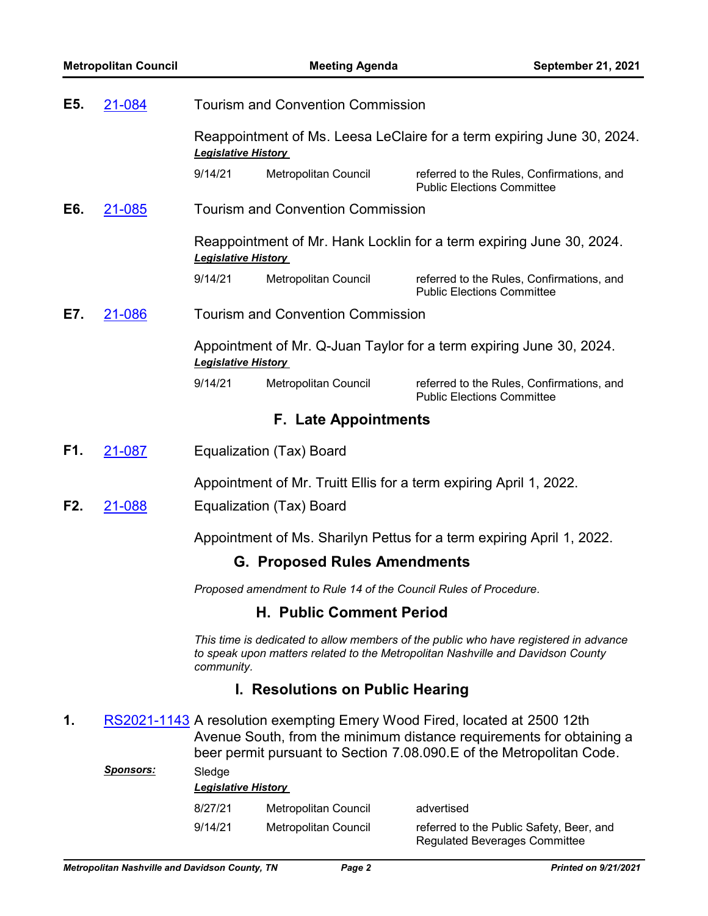| E5. | 21-084           |                                      | <b>Tourism and Convention Commission</b>                         |                                                                                                                                                                                                                            |
|-----|------------------|--------------------------------------|------------------------------------------------------------------|----------------------------------------------------------------------------------------------------------------------------------------------------------------------------------------------------------------------------|
|     |                  |                                      |                                                                  |                                                                                                                                                                                                                            |
|     |                  | <b>Legislative History</b>           |                                                                  | Reappointment of Ms. Leesa LeClaire for a term expiring June 30, 2024.                                                                                                                                                     |
|     |                  | 9/14/21                              | Metropolitan Council                                             | referred to the Rules, Confirmations, and<br><b>Public Elections Committee</b>                                                                                                                                             |
| E6. | 21-085           |                                      | <b>Tourism and Convention Commission</b>                         |                                                                                                                                                                                                                            |
|     |                  | <b>Legislative History</b>           |                                                                  | Reappointment of Mr. Hank Locklin for a term expiring June 30, 2024.                                                                                                                                                       |
|     |                  | 9/14/21                              | Metropolitan Council                                             | referred to the Rules, Confirmations, and<br><b>Public Elections Committee</b>                                                                                                                                             |
| E7. | 21-086           |                                      | <b>Tourism and Convention Commission</b>                         |                                                                                                                                                                                                                            |
|     |                  | <b>Legislative History</b>           |                                                                  | Appointment of Mr. Q-Juan Taylor for a term expiring June 30, 2024.                                                                                                                                                        |
|     |                  | 9/14/21                              | Metropolitan Council                                             | referred to the Rules, Confirmations, and<br><b>Public Elections Committee</b>                                                                                                                                             |
|     |                  |                                      | <b>F. Late Appointments</b>                                      |                                                                                                                                                                                                                            |
| F1. | 21-087           |                                      | Equalization (Tax) Board                                         |                                                                                                                                                                                                                            |
|     |                  |                                      |                                                                  | Appointment of Mr. Truitt Ellis for a term expiring April 1, 2022.                                                                                                                                                         |
| F2. | 21-088           |                                      | Equalization (Tax) Board                                         |                                                                                                                                                                                                                            |
|     |                  |                                      |                                                                  | Appointment of Ms. Sharilyn Pettus for a term expiring April 1, 2022.                                                                                                                                                      |
|     |                  |                                      | <b>G. Proposed Rules Amendments</b>                              |                                                                                                                                                                                                                            |
|     |                  |                                      | Proposed amendment to Rule 14 of the Council Rules of Procedure. |                                                                                                                                                                                                                            |
|     |                  |                                      | <b>H. Public Comment Period</b>                                  |                                                                                                                                                                                                                            |
|     |                  | community.                           |                                                                  | This time is dedicated to allow members of the public who have registered in advance<br>to speak upon matters related to the Metropolitan Nashville and Davidson County                                                    |
|     |                  |                                      | I. Resolutions on Public Hearing                                 |                                                                                                                                                                                                                            |
| 1.  |                  |                                      |                                                                  | RS2021-1143 A resolution exempting Emery Wood Fired, located at 2500 12th<br>Avenue South, from the minimum distance requirements for obtaining a<br>beer permit pursuant to Section 7.08.090. E of the Metropolitan Code. |
|     | <u>Sponsors:</u> | Sledge<br><b>Legislative History</b> |                                                                  |                                                                                                                                                                                                                            |
|     |                  | 8/27/21                              | Metropolitan Council                                             | advertised                                                                                                                                                                                                                 |

9/14/21 Metropolitan Council referred to the Public Safety, Beer, and

Regulated Beverages Committee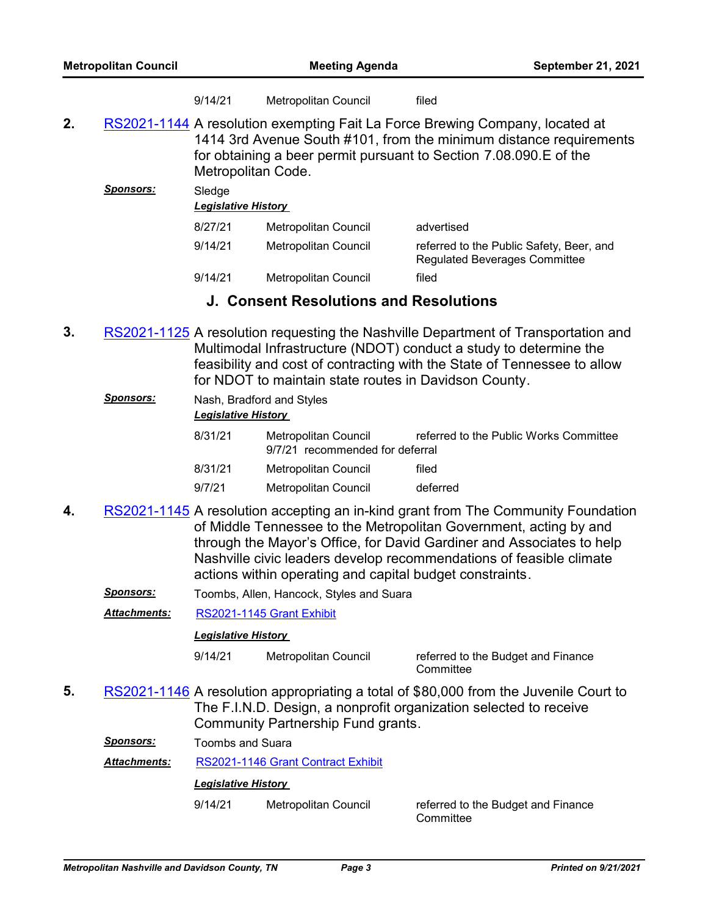| 9/14/21 | Metropolitan Council | filed |
|---------|----------------------|-------|
|---------|----------------------|-------|

2. [RS2021-1144](http://nashville.legistar.com/gateway.aspx?m=l&id=/matter.aspx?key=13557) A resolution exempting Fait La Force Brewing Company, located at 1414 3rd Avenue South #101, from the minimum distance requirements for obtaining a beer permit pursuant to Section 7.08.090.E of the Metropolitan Code.

| Sponsors: | Sledge<br><b>Legislative History</b> |                      |                                                                                  |  |
|-----------|--------------------------------------|----------------------|----------------------------------------------------------------------------------|--|
|           | 8/27/21                              | Metropolitan Council | advertised                                                                       |  |
|           | 9/14/21                              | Metropolitan Council | referred to the Public Safety, Beer, and<br><b>Regulated Beverages Committee</b> |  |
|           | 9/14/21                              | Metropolitan Council | filed                                                                            |  |

### **J. Consent Resolutions and Resolutions**

**3.** [RS2021-1125](http://nashville.legistar.com/gateway.aspx?m=l&id=/matter.aspx?key=13531) A resolution requesting the Nashville Department of Transportation and Multimodal Infrastructure (NDOT) conduct a study to determine the feasibility and cost of contracting with the State of Tennessee to allow for NDOT to maintain state routes in Davidson County.

| <b>Sponsors:</b> | Nash, Bradford and Styles<br><b>Legislative History</b> |                                                         |                                        |  |  |
|------------------|---------------------------------------------------------|---------------------------------------------------------|----------------------------------------|--|--|
|                  | 8/31/21                                                 | Metropolitan Council<br>9/7/21 recommended for deferral | referred to the Public Works Committee |  |  |
|                  | 8/31/21                                                 | Metropolitan Council                                    | filed                                  |  |  |
|                  | 9/7/21                                                  | Metropolitan Council                                    | deferred                               |  |  |
|                  |                                                         |                                                         |                                        |  |  |

- 4. [RS2021-1145](http://nashville.legistar.com/gateway.aspx?m=l&id=/matter.aspx?key=13586) A resolution accepting an in-kind grant from The Community Foundation of Middle Tennessee to the Metropolitan Government, acting by and through the Mayor's Office, for David Gardiner and Associates to help Nashville civic leaders develop recommendations of feasible climate actions within operating and capital budget constraints.
	- *Sponsors:* Toombs, Allen, Hancock, Styles and Suara
	- *Attachments:* [RS2021-1145 Grant Exhibit](http://nashville.legistar.com/gateway.aspx?M=F&ID=ab517ced-6c32-4780-be5f-39f94bc83e9e.pdf)

### *Legislative History*

9/14/21 Metropolitan Council referred to the Budget and Finance

**Committee** 

5. [RS2021-1146](http://nashville.legistar.com/gateway.aspx?m=l&id=/matter.aspx?key=13591) A resolution appropriating a total of \$80,000 from the Juvenile Court to The F.I.N.D. Design, a nonprofit organization selected to receive Community Partnership Fund grants.

*Sponsors:* Toombs and Suara

*Attachments:* [RS2021-1146 Grant Contract Exhibit](http://nashville.legistar.com/gateway.aspx?M=F&ID=f68280f9-1e5d-4ab4-96b2-d8ec841e1a4e.pdf)

### *Legislative History*

9/14/21 Metropolitan Council referred to the Budget and Finance

**Committee**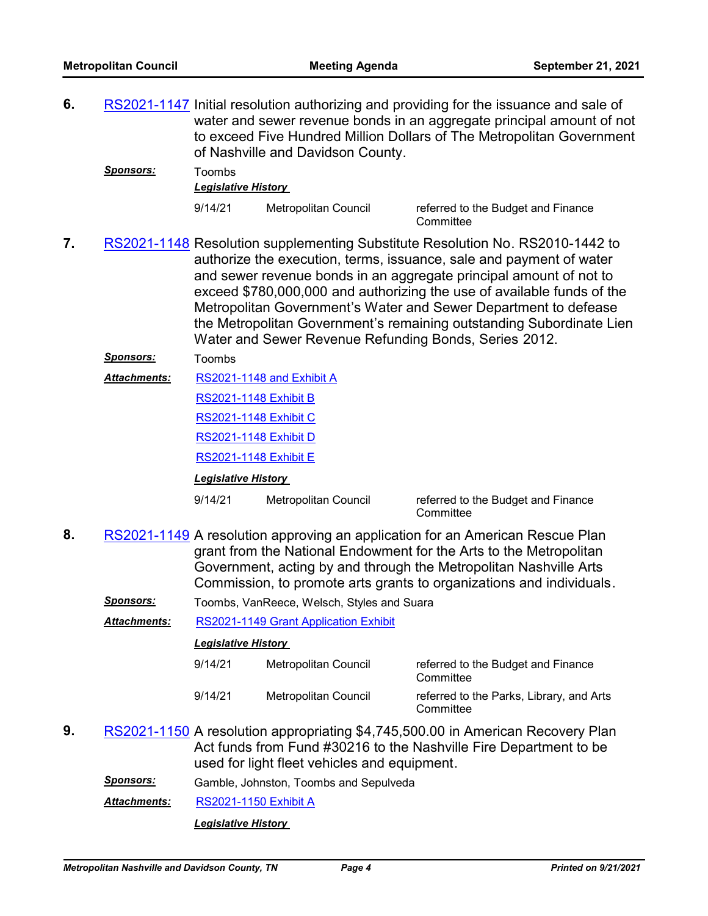6. [RS2021-1147](http://nashville.legistar.com/gateway.aspx?m=l&id=/matter.aspx?key=13587) Initial resolution authorizing and providing for the issuance and sale of water and sewer revenue bonds in an aggregate principal amount of not to exceed Five Hundred Million Dollars of The Metropolitan Government of Nashville and Davidson County.

| Sponsors: | Toombs                     |                      |                                    |
|-----------|----------------------------|----------------------|------------------------------------|
|           | <b>Legislative History</b> |                      |                                    |
|           | 9/14/21                    | Metropolitan Council | referred to the Budget and Finance |

**Committee** 

7. [RS2021-1148](http://nashville.legistar.com/gateway.aspx?m=l&id=/matter.aspx?key=13588) Resolution supplementing Substitute Resolution No. RS2010-1442 to authorize the execution, terms, issuance, sale and payment of water and sewer revenue bonds in an aggregate principal amount of not to exceed \$780,000,000 and authorizing the use of available funds of the Metropolitan Government's Water and Sewer Department to defease the Metropolitan Government's remaining outstanding Subordinate Lien Water and Sewer Revenue Refunding Bonds, Series 2012.

### *Sponsors:* Toombs

[RS2021-1148 and Exhibit A](http://nashville.legistar.com/gateway.aspx?M=F&ID=c620bfa0-6976-44d0-9153-902cbf6890c5.DOC) *Attachments:*

[RS2021-1148 Exhibit B](http://nashville.legistar.com/gateway.aspx?M=F&ID=2d5b2cb1-49c9-4a9d-b11a-13f9d250bce5.DOCX)

[RS2021-1148 Exhibit C](http://nashville.legistar.com/gateway.aspx?M=F&ID=31974cb4-847c-4297-88c2-3a017cbe4a79.DOC)

[RS2021-1148 Exhibit D](http://nashville.legistar.com/gateway.aspx?M=F&ID=e0dea714-e1b1-4278-9a11-14db17682ac3.DOC)

[RS2021-1148 Exhibit E](http://nashville.legistar.com/gateway.aspx?M=F&ID=becb09c9-f86a-4ea4-8a50-25d4bb76e21b.DOC)

*Legislative History* 

9/14/21 Metropolitan Council referred to the Budget and Finance

**Committee** 

8. [RS2021-1149](http://nashville.legistar.com/gateway.aspx?m=l&id=/matter.aspx?key=13580) A resolution approving an application for an American Rescue Plan grant from the National Endowment for the Arts to the Metropolitan Government, acting by and through the Metropolitan Nashville Arts Commission, to promote arts grants to organizations and individuals.

*Sponsors:* Toombs, VanReece, Welsch, Styles and Suara

*Attachments:* [RS2021-1149 Grant Application Exhibit](http://nashville.legistar.com/gateway.aspx?M=F&ID=763fe163-5da5-41cd-a523-66576da6413b.pdf)

#### *Legislative History*

| 9/14/21 | Metropolitan Council | referred to the Budget and Finance<br>Committee       |
|---------|----------------------|-------------------------------------------------------|
| 9/14/21 | Metropolitan Council | referred to the Parks, Library, and Arts<br>Committee |

- 9. [RS2021-1150](http://nashville.legistar.com/gateway.aspx?m=l&id=/matter.aspx?key=13589) A resolution appropriating \$4,745,500.00 in American Recovery Plan Act funds from Fund #30216 to the Nashville Fire Department to be used for light fleet vehicles and equipment.
	- *Sponsors:* Gamble, Johnston, Toombs and Sepulveda

*Attachments:* [RS2021-1150 Exhibit A](http://nashville.legistar.com/gateway.aspx?M=F&ID=6e1948bc-a671-4d02-8eaf-420ee5c3193b.PDF)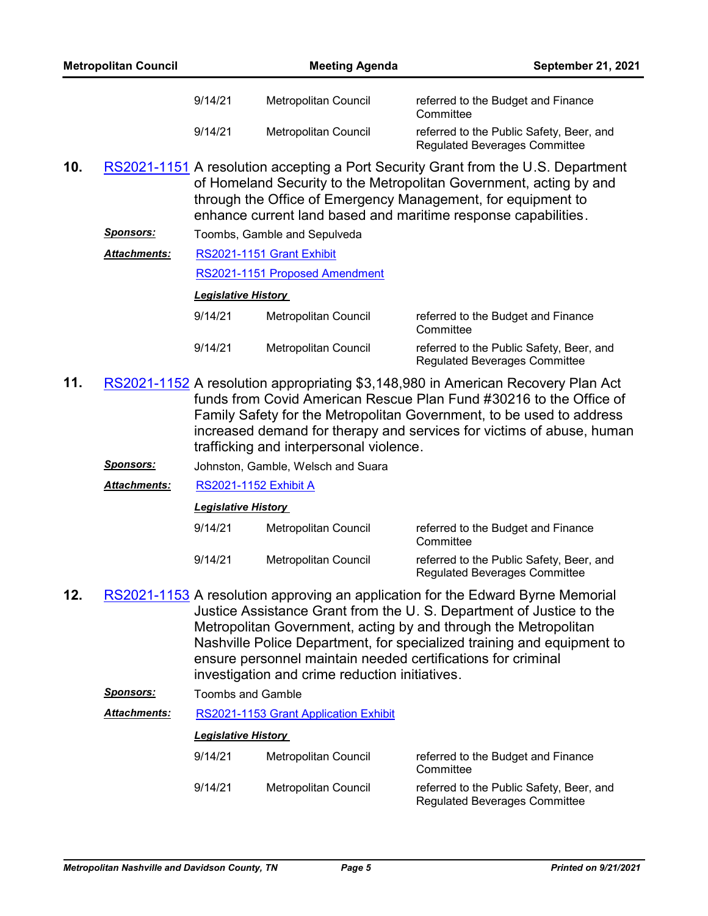|     | <b>Metropolitan Council</b> |                              | <b>Meeting Agenda</b>                          | September 21, 2021                                                                                                                                                                                                                                                                                                                                                  |
|-----|-----------------------------|------------------------------|------------------------------------------------|---------------------------------------------------------------------------------------------------------------------------------------------------------------------------------------------------------------------------------------------------------------------------------------------------------------------------------------------------------------------|
|     |                             | 9/14/21                      | Metropolitan Council                           | referred to the Budget and Finance<br>Committee                                                                                                                                                                                                                                                                                                                     |
|     |                             | 9/14/21                      | Metropolitan Council                           | referred to the Public Safety, Beer, and<br><b>Regulated Beverages Committee</b>                                                                                                                                                                                                                                                                                    |
| 10. |                             |                              |                                                | RS2021-1151 A resolution accepting a Port Security Grant from the U.S. Department<br>of Homeland Security to the Metropolitan Government, acting by and<br>through the Office of Emergency Management, for equipment to<br>enhance current land based and maritime response capabilities.                                                                           |
|     | <u>Sponsors:</u>            |                              | Toombs, Gamble and Sepulveda                   |                                                                                                                                                                                                                                                                                                                                                                     |
|     | Attachments:                |                              | RS2021-1151 Grant Exhibit                      |                                                                                                                                                                                                                                                                                                                                                                     |
|     |                             |                              | RS2021-1151 Proposed Amendment                 |                                                                                                                                                                                                                                                                                                                                                                     |
|     |                             | <b>Legislative History</b>   |                                                |                                                                                                                                                                                                                                                                                                                                                                     |
|     |                             | 9/14/21                      | <b>Metropolitan Council</b>                    | referred to the Budget and Finance<br>Committee                                                                                                                                                                                                                                                                                                                     |
|     |                             | 9/14/21                      | <b>Metropolitan Council</b>                    | referred to the Public Safety, Beer, and<br><b>Regulated Beverages Committee</b>                                                                                                                                                                                                                                                                                    |
| 11. |                             |                              | trafficking and interpersonal violence.        | RS2021-1152 A resolution appropriating \$3,148,980 in American Recovery Plan Act<br>funds from Covid American Rescue Plan Fund #30216 to the Office of<br>Family Safety for the Metropolitan Government, to be used to address<br>increased demand for therapy and services for victims of abuse, human                                                             |
|     | <u>Sponsors:</u>            |                              | Johnston, Gamble, Welsch and Suara             |                                                                                                                                                                                                                                                                                                                                                                     |
|     | <u> Attachments:</u>        | <b>RS2021-1152 Exhibit A</b> |                                                |                                                                                                                                                                                                                                                                                                                                                                     |
|     |                             | <b>Legislative History</b>   |                                                |                                                                                                                                                                                                                                                                                                                                                                     |
|     |                             | 9/14/21                      | Metropolitan Council                           | referred to the Budget and Finance<br>Committee                                                                                                                                                                                                                                                                                                                     |
|     |                             | 9/14/21                      | Metropolitan Council                           | referred to the Public Safety, Beer, and<br><b>Regulated Beverages Committee</b>                                                                                                                                                                                                                                                                                    |
| 12. |                             |                              | investigation and crime reduction initiatives. | RS2021-1153 A resolution approving an application for the Edward Byrne Memorial<br>Justice Assistance Grant from the U.S. Department of Justice to the<br>Metropolitan Government, acting by and through the Metropolitan<br>Nashville Police Department, for specialized training and equipment to<br>ensure personnel maintain needed certifications for criminal |
|     | <u>Sponsors:</u>            | <b>Toombs and Gamble</b>     |                                                |                                                                                                                                                                                                                                                                                                                                                                     |
|     | <u> Attachments:</u>        |                              | RS2021-1153 Grant Application Exhibit          |                                                                                                                                                                                                                                                                                                                                                                     |
|     |                             | <b>Legislative History</b>   |                                                |                                                                                                                                                                                                                                                                                                                                                                     |
|     |                             | 9/14/21                      | Metropolitan Council                           | referred to the Budget and Finance<br>Committee                                                                                                                                                                                                                                                                                                                     |
|     |                             | 9/14/21                      | Metropolitan Council                           | referred to the Public Safety, Beer, and<br><b>Regulated Beverages Committee</b>                                                                                                                                                                                                                                                                                    |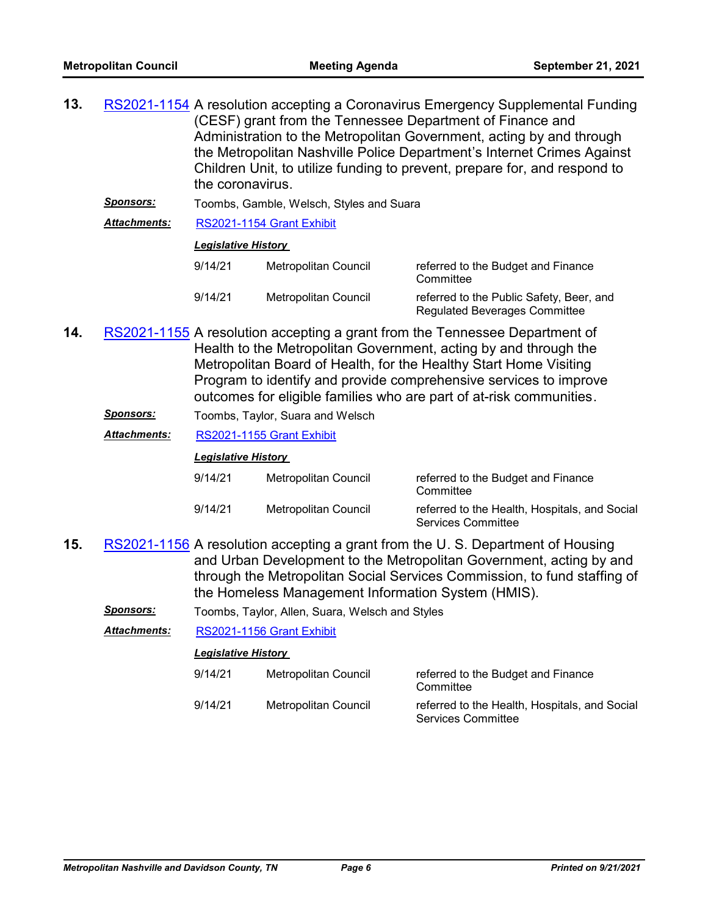| 13. | RS2021-1154 A resolution accepting a Coronavirus Emergency Supplemental Funding |
|-----|---------------------------------------------------------------------------------|
|     | (CESF) grant from the Tennessee Department of Finance and                       |
|     | Administration to the Metropolitan Government, acting by and through            |
|     | the Metropolitan Nashville Police Department's Internet Crimes Against          |
|     | Children Unit, to utilize funding to prevent, prepare for, and respond to       |
|     | the coronavirus.                                                                |
|     |                                                                                 |

*Sponsors:* Toombs, Gamble, Welsch, Styles and Suara

*Attachments:* [RS2021-1154 Grant Exhibit](http://nashville.legistar.com/gateway.aspx?M=F&ID=db7dc630-3d4e-4b92-b2a9-ebebb5d502ff.pdf)

### *Legislative History*

| 9/14/21 | Metropolitan Council | referred to the Budget and Finance<br>Committee                                  |
|---------|----------------------|----------------------------------------------------------------------------------|
| 9/14/21 | Metropolitan Council | referred to the Public Safety, Beer, and<br><b>Regulated Beverages Committee</b> |

- 14. [RS2021-1155](http://nashville.legistar.com/gateway.aspx?m=l&id=/matter.aspx?key=13578) A resolution accepting a grant from the Tennessee Department of Health to the Metropolitan Government, acting by and through the Metropolitan Board of Health, for the Healthy Start Home Visiting Program to identify and provide comprehensive services to improve outcomes for eligible families who are part of at-risk communities.
	- *Sponsors:* Toombs, Taylor, Suara and Welsch
	- *Attachments:* [RS2021-1155 Grant Exhibit](http://nashville.legistar.com/gateway.aspx?M=F&ID=4d007977-aeb8-4759-98df-477165b0eb1e.pdf)

### *Legislative History*

| 9/14/21 | Metropolitan Council | referred to the Budget and Finance<br>Committee                     |
|---------|----------------------|---------------------------------------------------------------------|
| 9/14/21 | Metropolitan Council | referred to the Health, Hospitals, and Social<br>Services Committee |

- 15. [RS2021-1156](http://nashville.legistar.com/gateway.aspx?m=l&id=/matter.aspx?key=13582) A resolution accepting a grant from the U.S. Department of Housing and Urban Development to the Metropolitan Government, acting by and through the Metropolitan Social Services Commission, to fund staffing of the Homeless Management Information System (HMIS).
	- *Sponsors:* Toombs, Taylor, Allen, Suara, Welsch and Styles

*Attachments:* [RS2021-1156 Grant Exhibit](http://nashville.legistar.com/gateway.aspx?M=F&ID=5a819518-a73c-46cd-a41e-0498a0459816.pdf)

| 9/14/21 | Metropolitan Council | referred to the Budget and Finance<br>Committee                            |
|---------|----------------------|----------------------------------------------------------------------------|
| 9/14/21 | Metropolitan Council | referred to the Health, Hospitals, and Social<br><b>Services Committee</b> |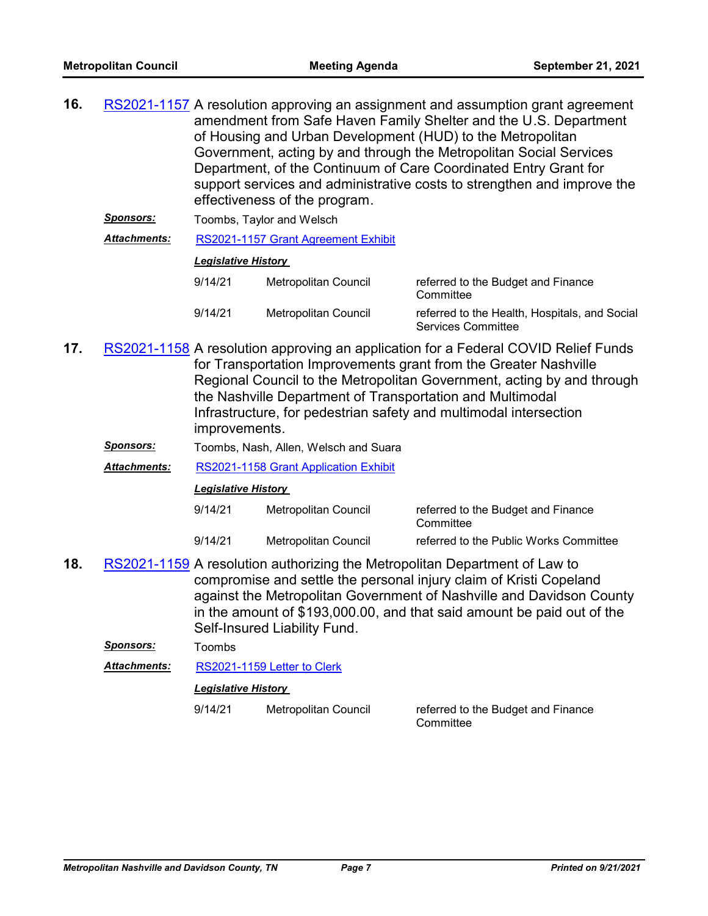| 16. | RS2021-1157 A resolution approving an assignment and assumption grant agreement |
|-----|---------------------------------------------------------------------------------|
|     | amendment from Safe Haven Family Shelter and the U.S. Department                |
|     | of Housing and Urban Development (HUD) to the Metropolitan                      |
|     | Government, acting by and through the Metropolitan Social Services              |
|     | Department, of the Continuum of Care Coordinated Entry Grant for                |
|     | support services and administrative costs to strengthen and improve the         |
|     | effectiveness of the program.                                                   |
|     |                                                                                 |

**Sponsors:** Toombs, Taylor and Welsch

*Attachments:* [RS2021-1157 Grant Agreement Exhibit](http://nashville.legistar.com/gateway.aspx?M=F&ID=6f8c6c7a-f01e-46c1-9de1-824f58afc2bb.pdf)

### *Legislative History*

| 9/14/21 | Metropolitan Council | referred to the Budget and Finance<br>Committee                     |
|---------|----------------------|---------------------------------------------------------------------|
| 9/14/21 | Metropolitan Council | referred to the Health, Hospitals, and Social<br>Services Committee |

- 17. [RS2021-1158](http://nashville.legistar.com/gateway.aspx?m=l&id=/matter.aspx?key=13584) A resolution approving an application for a Federal COVID Relief Funds for Transportation Improvements grant from the Greater Nashville Regional Council to the Metropolitan Government, acting by and through the Nashville Department of Transportation and Multimodal Infrastructure, for pedestrian safety and multimodal intersection improvements.
	- *Sponsors:* Toombs, Nash, Allen, Welsch and Suara

*Attachments:* [RS2021-1158 Grant Application Exhibit](http://nashville.legistar.com/gateway.aspx?M=F&ID=8f1c1cf5-a868-42c6-b0dc-c1e3d56af24e.pdf)

### *Legislative History*

| 9/14/21 | Metropolitan Council | referred to the Budget and Finance<br>Committee |
|---------|----------------------|-------------------------------------------------|
| 9/14/21 | Metropolitan Council | referred to the Public Works Committee          |

18. [RS2021-1159](http://nashville.legistar.com/gateway.aspx?m=l&id=/matter.aspx?key=13572) A resolution authorizing the Metropolitan Department of Law to compromise and settle the personal injury claim of Kristi Copeland against the Metropolitan Government of Nashville and Davidson County in the amount of \$193,000.00, and that said amount be paid out of the Self-Insured Liability Fund.

*Sponsors:* Toombs

*Attachments:* [RS2021-1159 Letter to Clerk](http://nashville.legistar.com/gateway.aspx?M=F&ID=dd400c94-f5b0-4d22-9d3a-ca068337d974.DOCX)

### *Legislative History*

9/14/21 Metropolitan Council referred to the Budget and Finance

**Committee**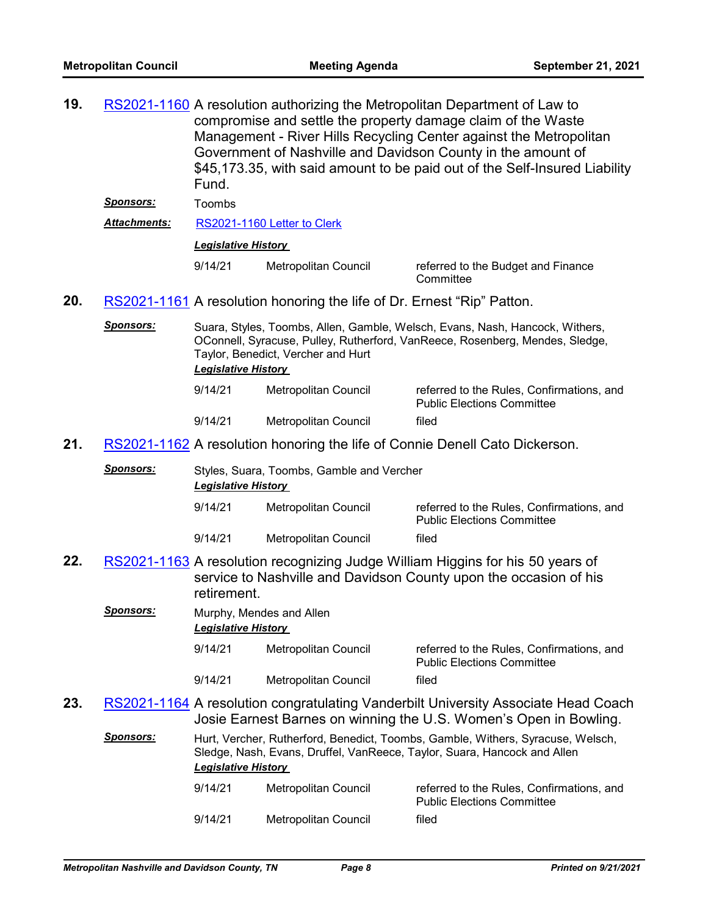19. [RS2021-1160](http://nashville.legistar.com/gateway.aspx?m=l&id=/matter.aspx?key=13573) A resolution authorizing the Metropolitan Department of Law to compromise and settle the property damage claim of the Waste Management - River Hills Recycling Center against the Metropolitan Government of Nashville and Davidson County in the amount of \$45,173.35, with said amount to be paid out of the Self-Insured Liability Fund.

*Sponsors:* Toombs

*Attachments:* [RS2021-1160 Letter to Clerk](http://nashville.legistar.com/gateway.aspx?M=F&ID=0d7504f3-9dbd-4645-a740-f1a3b77c4da9.DOCX)

### *Legislative History*

9/14/21 Metropolitan Council referred to the Budget and Finance **Committee** 

**20.** [RS2021-1161](http://nashville.legistar.com/gateway.aspx?m=l&id=/matter.aspx?key=13596) A resolution honoring the life of Dr. Ernest "Rip" Patton.

*Sponsors:* Suara, Styles, Toombs, Allen, Gamble, Welsch, Evans, Nash, Hancock, Withers, OConnell, Syracuse, Pulley, Rutherford, VanReece, Rosenberg, Mendes, Sledge, Taylor, Benedict, Vercher and Hurt *Legislative History* 

| 9/14/21 | Metropolitan Council | referred to the Rules. Confirmations, and<br><b>Public Elections Committee</b> |
|---------|----------------------|--------------------------------------------------------------------------------|
| 9/14/21 | Metropolitan Council | filed                                                                          |

**21.** [RS2021-1162](http://nashville.legistar.com/gateway.aspx?m=l&id=/matter.aspx?key=13597) A resolution honoring the life of Connie Denell Cato Dickerson.

| <b>Sponsors:</b> | Styles, Suara, Toombs, Gamble and Vercher<br><b>Legislative History</b> |                      |                                                                                |  |  |
|------------------|-------------------------------------------------------------------------|----------------------|--------------------------------------------------------------------------------|--|--|
|                  | 9/14/21                                                                 | Metropolitan Council | referred to the Rules, Confirmations, and<br><b>Public Elections Committee</b> |  |  |
|                  | 9/14/21                                                                 | Metropolitan Council | filed                                                                          |  |  |

- **22.** [RS2021-1163](http://nashville.legistar.com/gateway.aspx?m=l&id=/matter.aspx?key=13558) A resolution recognizing Judge William Higgins for his 50 years of service to Nashville and Davidson County upon the occasion of his retirement.
	- *Sponsors:* Murphy, Mendes and Allen *Legislative History* 
		- 9/14/21 Metropolitan Council referred to the Rules, Confirmations, and Public Elections Committee 9/14/21 Metropolitan Council filed
- 23. [RS2021-1164](http://nashville.legistar.com/gateway.aspx?m=l&id=/matter.aspx?key=13575) A resolution congratulating Vanderbilt University Associate Head Coach Josie Earnest Barnes on winning the U.S. Women's Open in Bowling.

Sponsors: Hurt, Vercher, Rutherford, Benedict, Toombs, Gamble, Withers, Syracuse, Welsch, Sledge, Nash, Evans, Druffel, VanReece, Taylor, Suara, Hancock and Allen *Legislative History* 

| 9/14/21 | Metropolitan Council | referred to the Rules, Confirmations, and<br><b>Public Elections Committee</b> |
|---------|----------------------|--------------------------------------------------------------------------------|
| 9/14/21 | Metropolitan Council | filed                                                                          |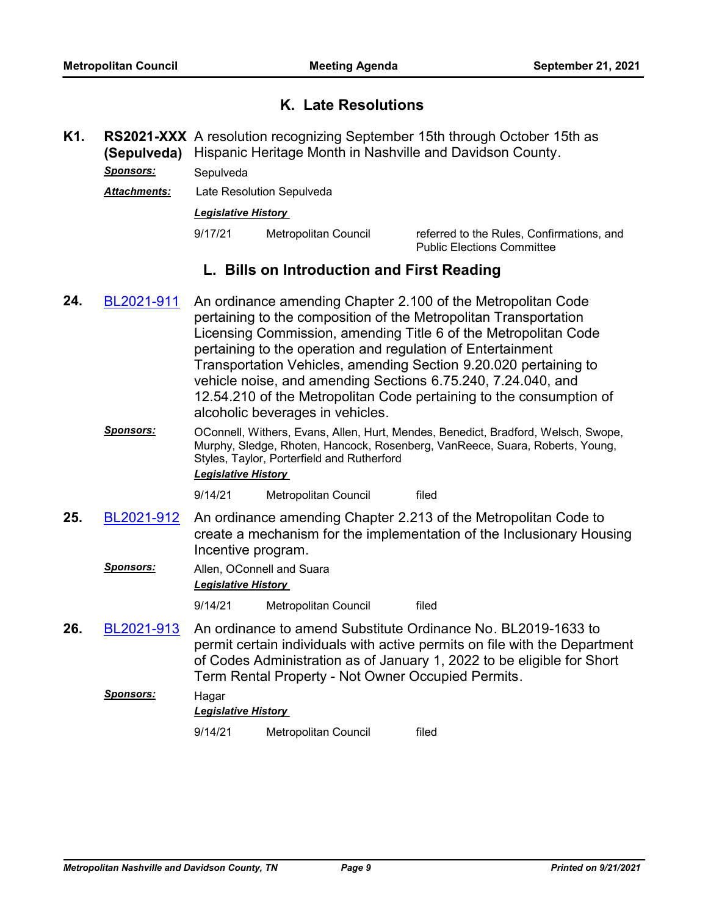# **K. Late Resolutions**

- RS2021-XXX A resolution recognizing September 15th through October 15th as **(Sepulveda)** Hispanic Heritage Month in Nashville and Davidson County. **K1.** *Sponsors:* Sepulveda
	- *Attachments:* Late Resolution Sepulveda

### *Legislative History*

9/17/21 Metropolitan Council referred to the Rules, Confirmations, and Public Elections Committee

# **L. Bills on Introduction and First Reading**

- An ordinance amending Chapter 2.100 of the Metropolitan Code pertaining to the composition of the Metropolitan Transportation Licensing Commission, amending Title 6 of the Metropolitan Code pertaining to the operation and regulation of Entertainment Transportation Vehicles, amending Section 9.20.020 pertaining to vehicle noise, and amending Sections 6.75.240, 7.24.040, and 12.54.210 of the Metropolitan Code pertaining to the consumption of alcoholic beverages in vehicles. **24.** [BL2021-911](http://nashville.legistar.com/gateway.aspx?m=l&id=/matter.aspx?key=13574)
	- *Sponsors:* OConnell, Withers, Evans, Allen, Hurt, Mendes, Benedict, Bradford, Welsch, Swope, Murphy, Sledge, Rhoten, Hancock, Rosenberg, VanReece, Suara, Roberts, Young, Styles, Taylor, Porterfield and Rutherford *Legislative History*

9/14/21 Metropolitan Council filed

- An ordinance amending Chapter 2.213 of the Metropolitan Code to create a mechanism for the implementation of the Inclusionary Housing Incentive program. **25.** [BL2021-912](http://nashville.legistar.com/gateway.aspx?m=l&id=/matter.aspx?key=13592)
	- *Sponsors:* Allen, OConnell and Suara *Legislative History*

9/14/21 Metropolitan Council filed

An ordinance to amend Substitute Ordinance No. BL2019-1633 to permit certain individuals with active permits on file with the Department of Codes Administration as of January 1, 2022 to be eligible for Short Term Rental Property - Not Owner Occupied Permits. **26.** [BL2021-913](http://nashville.legistar.com/gateway.aspx?m=l&id=/matter.aspx?key=13593)

## *Sponsors:* Hagar *Legislative History*  9/14/21 Metropolitan Council filed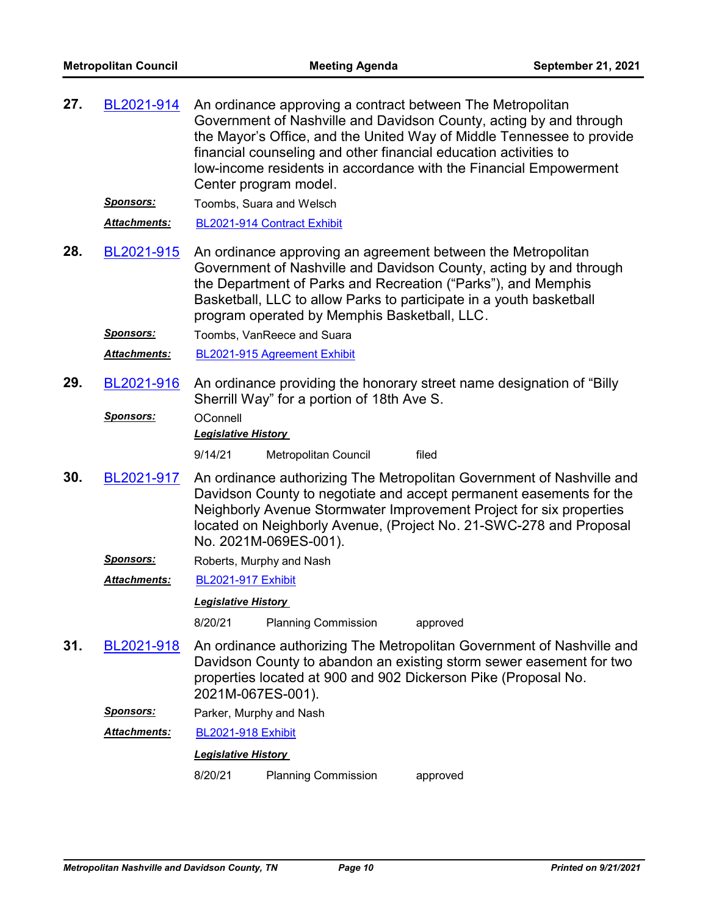| 27. | BL2021-914          | An ordinance approving a contract between The Metropolitan<br>Government of Nashville and Davidson County, acting by and through<br>the Mayor's Office, and the United Way of Middle Tennessee to provide<br>financial counseling and other financial education activities to<br>low-income residents in accordance with the Financial Empowerment<br>Center program model. |  |  |
|-----|---------------------|-----------------------------------------------------------------------------------------------------------------------------------------------------------------------------------------------------------------------------------------------------------------------------------------------------------------------------------------------------------------------------|--|--|
|     | <b>Sponsors:</b>    | Toombs, Suara and Welsch                                                                                                                                                                                                                                                                                                                                                    |  |  |
|     | Attachments:        | BL2021-914 Contract Exhibit                                                                                                                                                                                                                                                                                                                                                 |  |  |
| 28. | BL2021-915          | An ordinance approving an agreement between the Metropolitan<br>Government of Nashville and Davidson County, acting by and through<br>the Department of Parks and Recreation ("Parks"), and Memphis<br>Basketball, LLC to allow Parks to participate in a youth basketball<br>program operated by Memphis Basketball, LLC.                                                  |  |  |
|     | <b>Sponsors:</b>    | Toombs, VanReece and Suara                                                                                                                                                                                                                                                                                                                                                  |  |  |
|     | <b>Attachments:</b> | BL2021-915 Agreement Exhibit                                                                                                                                                                                                                                                                                                                                                |  |  |
| 29. | BL2021-916          | An ordinance providing the honorary street name designation of "Billy"<br>Sherrill Way" for a portion of 18th Ave S.                                                                                                                                                                                                                                                        |  |  |
|     | <b>Sponsors:</b>    | OConnell                                                                                                                                                                                                                                                                                                                                                                    |  |  |
|     |                     | <b>Legislative History</b>                                                                                                                                                                                                                                                                                                                                                  |  |  |
|     |                     | filed<br>9/14/21<br>Metropolitan Council                                                                                                                                                                                                                                                                                                                                    |  |  |
| 30. | BL2021-917          | An ordinance authorizing The Metropolitan Government of Nashville and<br>Davidson County to negotiate and accept permanent easements for the<br>Neighborly Avenue Stormwater Improvement Project for six properties<br>located on Neighborly Avenue, (Project No. 21-SWC-278 and Proposal<br>No. 2021M-069ES-001).                                                          |  |  |
|     | <b>Sponsors:</b>    | Roberts, Murphy and Nash                                                                                                                                                                                                                                                                                                                                                    |  |  |
|     | Attachments:        | <b>BL2021-917 Exhibit</b>                                                                                                                                                                                                                                                                                                                                                   |  |  |
|     |                     | <b>Legislative History</b>                                                                                                                                                                                                                                                                                                                                                  |  |  |
|     |                     | 8/20/21<br><b>Planning Commission</b><br>approved                                                                                                                                                                                                                                                                                                                           |  |  |
| 31. | BL2021-918          | An ordinance authorizing The Metropolitan Government of Nashville and<br>Davidson County to abandon an existing storm sewer easement for two<br>properties located at 900 and 902 Dickerson Pike (Proposal No.<br>2021M-067ES-001).                                                                                                                                         |  |  |
|     | Sponsors:           | Parker, Murphy and Nash                                                                                                                                                                                                                                                                                                                                                     |  |  |
|     | <b>Attachments:</b> | <b>BL2021-918 Exhibit</b>                                                                                                                                                                                                                                                                                                                                                   |  |  |
|     |                     | <b>Legislative History</b>                                                                                                                                                                                                                                                                                                                                                  |  |  |
|     |                     | <b>Planning Commission</b><br>8/20/21<br>approved                                                                                                                                                                                                                                                                                                                           |  |  |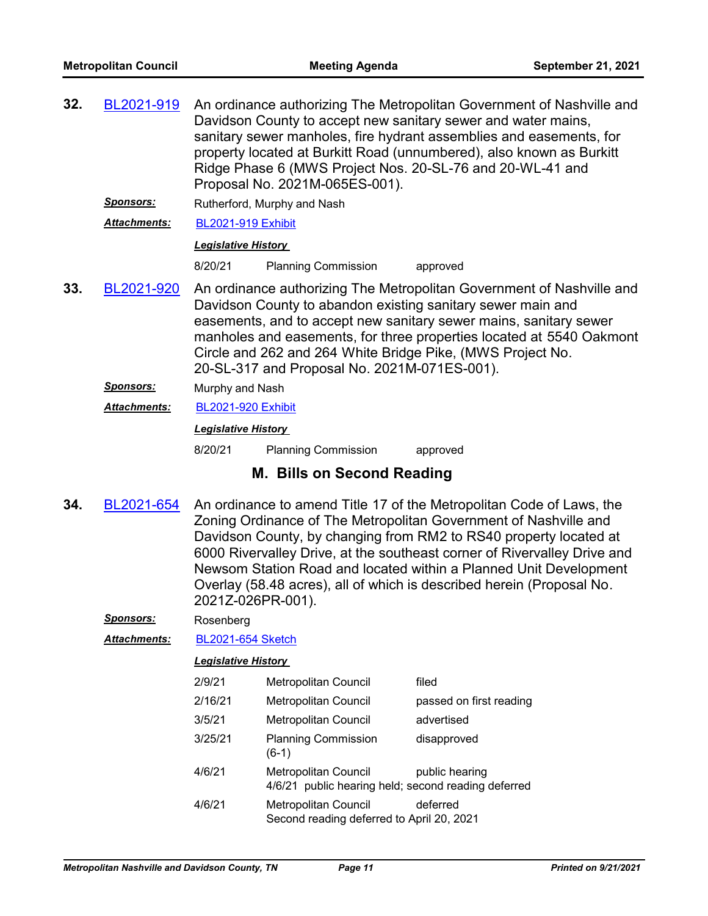| 32.                                                                                                                                                                                            | BL2021-919          | An ordinance authorizing The Metropolitan Government of Nashville and<br>Davidson County to accept new sanitary sewer and water mains,<br>sanitary sewer manholes, fire hydrant assemblies and easements, for<br>property located at Burkitt Road (unnumbered), also known as Burkitt<br>Ridge Phase 6 (MWS Project Nos. 20-SL-76 and 20-WL-41 and<br>Proposal No. 2021M-065ES-001). |                                                                                                                                                                                                                    |          |
|------------------------------------------------------------------------------------------------------------------------------------------------------------------------------------------------|---------------------|--------------------------------------------------------------------------------------------------------------------------------------------------------------------------------------------------------------------------------------------------------------------------------------------------------------------------------------------------------------------------------------|--------------------------------------------------------------------------------------------------------------------------------------------------------------------------------------------------------------------|----------|
|                                                                                                                                                                                                | <u>Sponsors:</u>    |                                                                                                                                                                                                                                                                                                                                                                                      | Rutherford, Murphy and Nash                                                                                                                                                                                        |          |
|                                                                                                                                                                                                | <b>Attachments:</b> | <b>BL2021-919 Exhibit</b>                                                                                                                                                                                                                                                                                                                                                            |                                                                                                                                                                                                                    |          |
|                                                                                                                                                                                                |                     | <b>Legislative History</b>                                                                                                                                                                                                                                                                                                                                                           |                                                                                                                                                                                                                    |          |
|                                                                                                                                                                                                |                     | 8/20/21                                                                                                                                                                                                                                                                                                                                                                              | <b>Planning Commission</b>                                                                                                                                                                                         | approved |
| 33.<br>BL2021-920<br>Davidson County to abandon existing sanitary sewer main and<br>Circle and 262 and 264 White Bridge Pike, (MWS Project No.<br>20-SL-317 and Proposal No. 2021M-071ES-001). |                     |                                                                                                                                                                                                                                                                                                                                                                                      | An ordinance authorizing The Metropolitan Government of Nashville and<br>easements, and to accept new sanitary sewer mains, sanitary sewer<br>manholes and easements, for three properties located at 5540 Oakmont |          |
|                                                                                                                                                                                                | <b>Sponsors:</b>    | Murphy and Nash<br><b>BL2021-920 Exhibit</b>                                                                                                                                                                                                                                                                                                                                         |                                                                                                                                                                                                                    |          |
|                                                                                                                                                                                                | <b>Attachments:</b> |                                                                                                                                                                                                                                                                                                                                                                                      |                                                                                                                                                                                                                    |          |
|                                                                                                                                                                                                |                     | <b>Legislative History</b>                                                                                                                                                                                                                                                                                                                                                           |                                                                                                                                                                                                                    |          |
|                                                                                                                                                                                                |                     | 8/20/21                                                                                                                                                                                                                                                                                                                                                                              | <b>Planning Commission</b>                                                                                                                                                                                         | approved |

## **M. Bills on Second Reading**

An ordinance to amend Title 17 of the Metropolitan Code of Laws, the Zoning Ordinance of The Metropolitan Government of Nashville and Davidson County, by changing from RM2 to RS40 property located at 6000 Rivervalley Drive, at the southeast corner of Rivervalley Drive and Newsom Station Road and located within a Planned Unit Development Overlay (58.48 acres), all of which is described herein (Proposal No. 2021Z-026PR-001). **34.** [BL2021-654](http://nashville.legistar.com/gateway.aspx?m=l&id=/matter.aspx?key=1929)

*Sponsors:* Rosenberg

*Attachments:* [BL2021-654 Sketch](http://nashville.legistar.com/gateway.aspx?M=F&ID=aa454243-fb84-4881-9b94-d0e120d6b2b0.docx)

| 2/9/21  | Metropolitan Council                                                        | filed                   |
|---------|-----------------------------------------------------------------------------|-------------------------|
| 2/16/21 | Metropolitan Council                                                        | passed on first reading |
| 3/5/21  | <b>Metropolitan Council</b>                                                 | advertised              |
| 3/25/21 | <b>Planning Commission</b><br>$(6-1)$                                       | disapproved             |
| 4/6/21  | Metropolitan Council<br>4/6/21 public hearing held; second reading deferred | public hearing          |
| 4/6/21  | Metropolitan Council<br>Second reading deferred to April 20, 2021           | deferred                |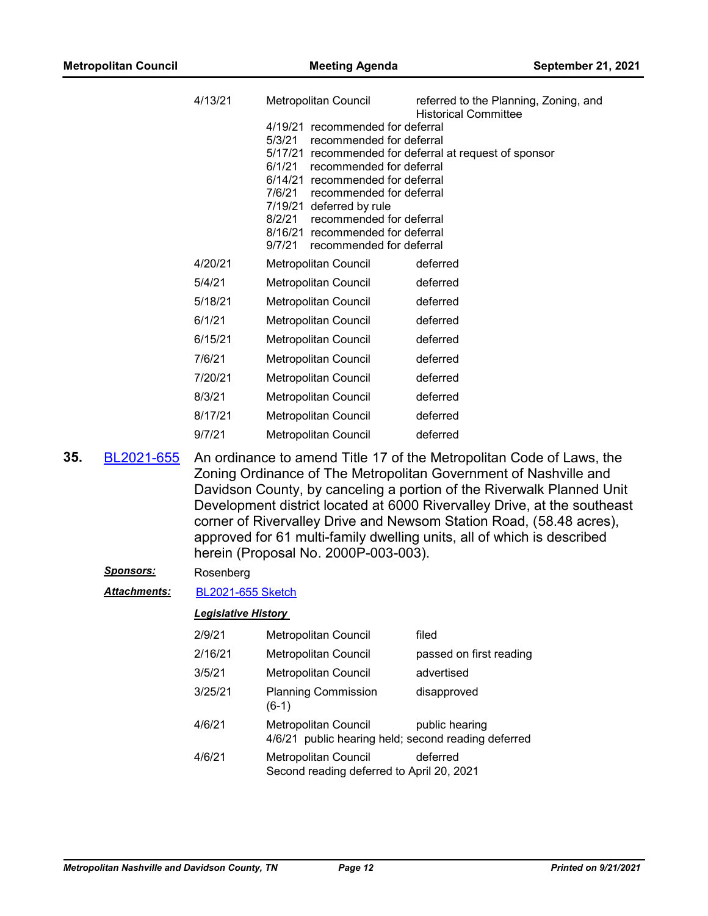| 4/13/21 | Metropolitan Council                                           | referred to the Planning, Zoning, and<br><b>Historical Committee</b> |
|---------|----------------------------------------------------------------|----------------------------------------------------------------------|
|         | 4/19/21 recommended for deferral                               |                                                                      |
|         | 5/3/21<br>recommended for deferral                             |                                                                      |
|         | 5/17/21 recommended for deferral at request of sponsor         |                                                                      |
|         | 6/1/21<br>recommended for deferral                             |                                                                      |
|         | 6/14/21 recommended for deferral                               |                                                                      |
|         | 7/6/21<br>recommended for deferral<br>7/19/21 deferred by rule |                                                                      |
|         | 8/2/21<br>recommended for deferral                             |                                                                      |
|         | 8/16/21 recommended for deferral                               |                                                                      |
|         | 9/7/21<br>recommended for deferral                             |                                                                      |
| 4/20/21 | Metropolitan Council                                           | deferred                                                             |
| 5/4/21  | <b>Metropolitan Council</b>                                    | deferred                                                             |
| 5/18/21 | <b>Metropolitan Council</b>                                    | deferred                                                             |
| 6/1/21  | <b>Metropolitan Council</b>                                    | deferred                                                             |
| 6/15/21 | <b>Metropolitan Council</b>                                    | deferred                                                             |
| 7/6/21  | Metropolitan Council                                           | deferred                                                             |
| 7/20/21 | Metropolitan Council                                           | deferred                                                             |
| 8/3/21  | Metropolitan Council                                           | deferred                                                             |
| 8/17/21 | Metropolitan Council                                           | deferred                                                             |
| 9/7/21  | <b>Metropolitan Council</b>                                    | deferred                                                             |
|         |                                                                |                                                                      |

An ordinance to amend Title 17 of the Metropolitan Code of Laws, the Zoning Ordinance of The Metropolitan Government of Nashville and Davidson County, by canceling a portion of the Riverwalk Planned Unit Development district located at 6000 Rivervalley Drive, at the southeast corner of Rivervalley Drive and Newsom Station Road, (58.48 acres), approved for 61 multi-family dwelling units, all of which is described herein (Proposal No. 2000P-003-003). **35.** [BL2021-655](http://nashville.legistar.com/gateway.aspx?m=l&id=/matter.aspx?key=1928)

### *Sponsors:* Rosenberg

*Attachments:* [BL2021-655 Sketch](http://nashville.legistar.com/gateway.aspx?M=F&ID=77b43b1c-3244-418d-a9af-745be0148128.docx)

| 2/9/21  | <b>Metropolitan Council</b>                                                        | filed                   |
|---------|------------------------------------------------------------------------------------|-------------------------|
| 2/16/21 | <b>Metropolitan Council</b>                                                        | passed on first reading |
| 3/5/21  | <b>Metropolitan Council</b>                                                        | advertised              |
| 3/25/21 | <b>Planning Commission</b><br>$(6-1)$                                              | disapproved             |
| 4/6/21  | <b>Metropolitan Council</b><br>4/6/21 public hearing held; second reading deferred | public hearing          |
| 4/6/21  | Metropolitan Council<br>Second reading deferred to April 20, 2021                  | deferred                |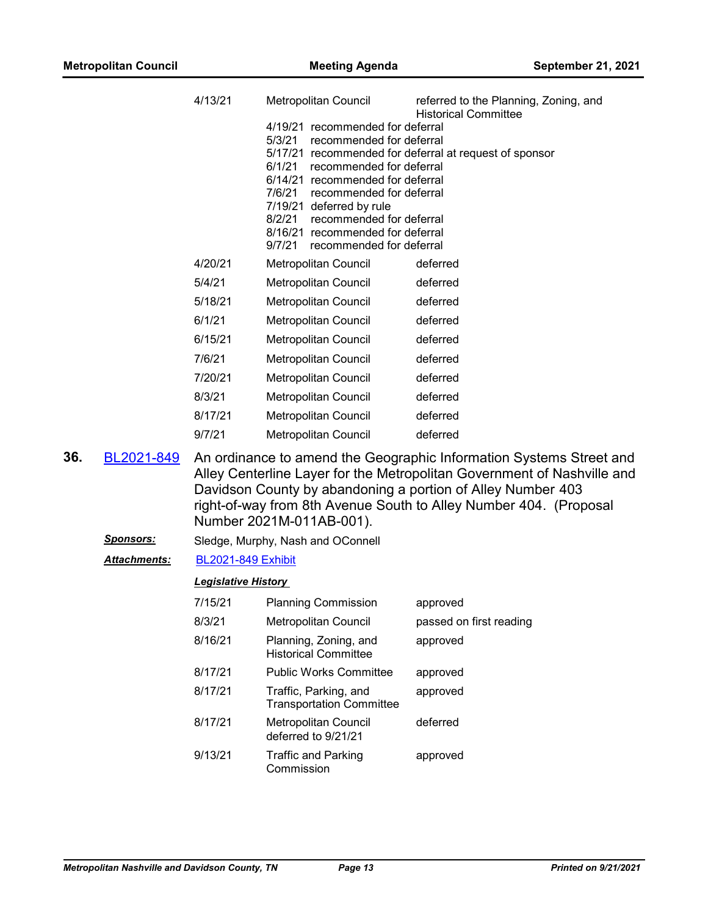|     |                      | 4/13/21                    | Metropolitan Council                                                                                                                                                                                                                                                                                                               | referred to the Planning, Zoning, and<br><b>Historical Committee</b>                                                                                                                                                                                                               |
|-----|----------------------|----------------------------|------------------------------------------------------------------------------------------------------------------------------------------------------------------------------------------------------------------------------------------------------------------------------------------------------------------------------------|------------------------------------------------------------------------------------------------------------------------------------------------------------------------------------------------------------------------------------------------------------------------------------|
|     |                      |                            | 4/19/21 recommended for deferral<br>5/3/21<br>recommended for deferral<br>recommended for deferral<br>6/1/21<br>6/14/21 recommended for deferral<br>7/6/21<br>recommended for deferral<br>7/19/21 deferred by rule<br>8/2/21<br>recommended for deferral<br>8/16/21 recommended for deferral<br>9/7/21<br>recommended for deferral | 5/17/21 recommended for deferral at request of sponsor                                                                                                                                                                                                                             |
|     |                      | 4/20/21                    | Metropolitan Council                                                                                                                                                                                                                                                                                                               | deferred                                                                                                                                                                                                                                                                           |
|     |                      | 5/4/21                     | <b>Metropolitan Council</b>                                                                                                                                                                                                                                                                                                        | deferred                                                                                                                                                                                                                                                                           |
|     |                      | 5/18/21                    | <b>Metropolitan Council</b>                                                                                                                                                                                                                                                                                                        | deferred                                                                                                                                                                                                                                                                           |
|     |                      | 6/1/21                     | Metropolitan Council                                                                                                                                                                                                                                                                                                               | deferred                                                                                                                                                                                                                                                                           |
|     |                      | 6/15/21                    | Metropolitan Council                                                                                                                                                                                                                                                                                                               | deferred                                                                                                                                                                                                                                                                           |
|     |                      | 7/6/21                     | Metropolitan Council                                                                                                                                                                                                                                                                                                               | deferred                                                                                                                                                                                                                                                                           |
|     |                      | 7/20/21                    | Metropolitan Council                                                                                                                                                                                                                                                                                                               | deferred                                                                                                                                                                                                                                                                           |
|     |                      | 8/3/21                     | Metropolitan Council                                                                                                                                                                                                                                                                                                               | deferred                                                                                                                                                                                                                                                                           |
|     |                      | 8/17/21                    | Metropolitan Council                                                                                                                                                                                                                                                                                                               | deferred                                                                                                                                                                                                                                                                           |
|     |                      | 9/7/21                     | <b>Metropolitan Council</b>                                                                                                                                                                                                                                                                                                        | deferred                                                                                                                                                                                                                                                                           |
| 36. | BL2021-849           |                            | Number 2021M-011AB-001).                                                                                                                                                                                                                                                                                                           | An ordinance to amend the Geographic Information Systems Street and<br>Alley Centerline Layer for the Metropolitan Government of Nashville and<br>Davidson County by abandoning a portion of Alley Number 403<br>right-of-way from 8th Avenue South to Alley Number 404. (Proposal |
|     | <u>Sponsors:</u>     |                            | Sledge, Murphy, Nash and OConnell                                                                                                                                                                                                                                                                                                  |                                                                                                                                                                                                                                                                                    |
|     | <u> Attachments:</u> | <b>BL2021-849 Exhibit</b>  |                                                                                                                                                                                                                                                                                                                                    |                                                                                                                                                                                                                                                                                    |
|     |                      | <b>Legislative History</b> |                                                                                                                                                                                                                                                                                                                                    |                                                                                                                                                                                                                                                                                    |
|     |                      | 7/15/21                    | <b>Planning Commission</b>                                                                                                                                                                                                                                                                                                         | approved                                                                                                                                                                                                                                                                           |
|     |                      | 8/3/21                     | Metropolitan Council                                                                                                                                                                                                                                                                                                               | passed on first reading                                                                                                                                                                                                                                                            |
|     |                      | 8/16/21                    | Planning, Zoning, and<br><b>Historical Committee</b>                                                                                                                                                                                                                                                                               | approved                                                                                                                                                                                                                                                                           |
|     |                      | 0147104                    | $D1$ , in its Minutes $D2$ means it is a                                                                                                                                                                                                                                                                                           |                                                                                                                                                                                                                                                                                    |

8/17/21 Public Works Committee approved 8/17/21 Traffic, Parking, and Transportation Committee approved 8/17/21 Metropolitan Council deferred

deferred to 9/21/21 9/13/21 Traffic and Parking Commission approved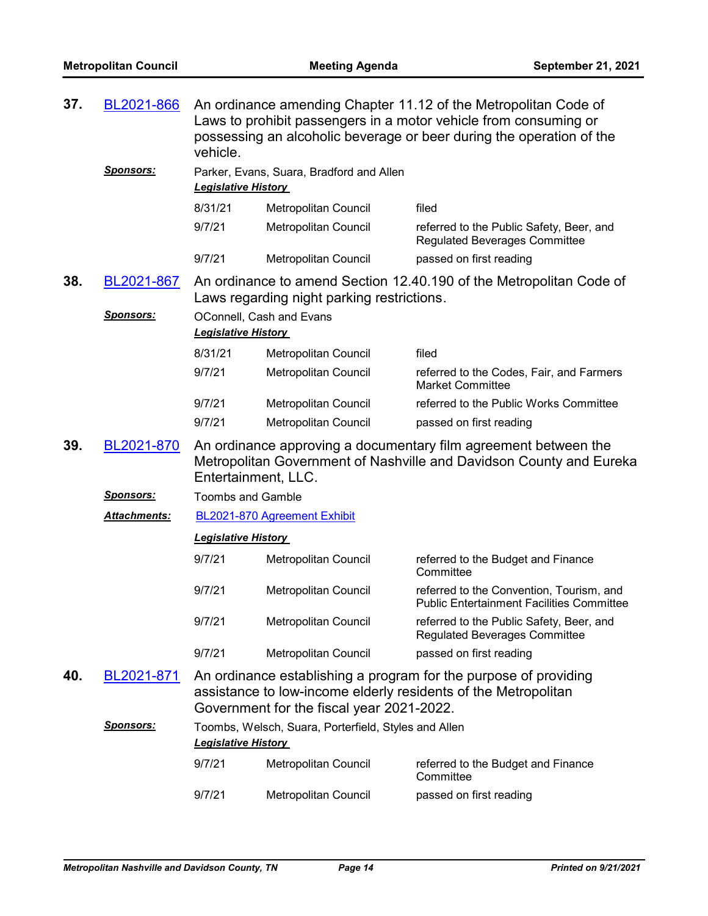| 37. | BL2021-866       | An ordinance amending Chapter 11.12 of the Metropolitan Code of<br>Laws to prohibit passengers in a motor vehicle from consuming or<br>possessing an alcoholic beverage or beer during the operation of the<br>vehicle. |                                                      |                                                                                                                                        |
|-----|------------------|-------------------------------------------------------------------------------------------------------------------------------------------------------------------------------------------------------------------------|------------------------------------------------------|----------------------------------------------------------------------------------------------------------------------------------------|
|     | <b>Sponsors:</b> | <b>Legislative History</b>                                                                                                                                                                                              | Parker, Evans, Suara, Bradford and Allen             |                                                                                                                                        |
|     |                  | 8/31/21                                                                                                                                                                                                                 | Metropolitan Council                                 | filed                                                                                                                                  |
|     |                  | 9/7/21                                                                                                                                                                                                                  | <b>Metropolitan Council</b>                          | referred to the Public Safety, Beer, and<br><b>Regulated Beverages Committee</b>                                                       |
|     |                  | 9/7/21                                                                                                                                                                                                                  | Metropolitan Council                                 | passed on first reading                                                                                                                |
| 38. | BL2021-867       |                                                                                                                                                                                                                         | Laws regarding night parking restrictions.           | An ordinance to amend Section 12.40.190 of the Metropolitan Code of                                                                    |
|     | <u>Sponsors:</u> |                                                                                                                                                                                                                         | OConnell, Cash and Evans                             |                                                                                                                                        |
|     |                  | <b>Legislative History</b>                                                                                                                                                                                              |                                                      |                                                                                                                                        |
|     |                  | 8/31/21                                                                                                                                                                                                                 | Metropolitan Council                                 | filed                                                                                                                                  |
|     |                  | 9/7/21                                                                                                                                                                                                                  | Metropolitan Council                                 | referred to the Codes, Fair, and Farmers<br><b>Market Committee</b>                                                                    |
|     |                  | 9/7/21                                                                                                                                                                                                                  | Metropolitan Council                                 | referred to the Public Works Committee                                                                                                 |
|     |                  | 9/7/21                                                                                                                                                                                                                  | Metropolitan Council                                 | passed on first reading                                                                                                                |
| 39. | BL2021-870       | Entertainment, LLC.                                                                                                                                                                                                     |                                                      | An ordinance approving a documentary film agreement between the<br>Metropolitan Government of Nashville and Davidson County and Eureka |
|     | <b>Sponsors:</b> | <b>Toombs and Gamble</b>                                                                                                                                                                                                |                                                      |                                                                                                                                        |
|     | Attachments:     |                                                                                                                                                                                                                         | BL2021-870 Agreement Exhibit                         |                                                                                                                                        |
|     |                  | <b>Legislative History</b>                                                                                                                                                                                              |                                                      |                                                                                                                                        |
|     |                  | 9/7/21                                                                                                                                                                                                                  | Metropolitan Council                                 | referred to the Budget and Finance<br>Committee                                                                                        |
|     |                  | 9/7/21                                                                                                                                                                                                                  | Metropolitan Council                                 | referred to the Convention, Tourism, and<br><b>Public Entertainment Facilities Committee</b>                                           |
|     |                  | 9/7/21                                                                                                                                                                                                                  | Metropolitan Council                                 | referred to the Public Safety, Beer, and<br><b>Regulated Beverages Committee</b>                                                       |
|     |                  | 9/7/21                                                                                                                                                                                                                  | Metropolitan Council                                 | passed on first reading                                                                                                                |
| 40. | BL2021-871       |                                                                                                                                                                                                                         | Government for the fiscal year 2021-2022.            | An ordinance establishing a program for the purpose of providing<br>assistance to low-income elderly residents of the Metropolitan     |
|     | <b>Sponsors:</b> | <b>Legislative History</b>                                                                                                                                                                                              | Toombs, Welsch, Suara, Porterfield, Styles and Allen |                                                                                                                                        |
|     |                  | 9/7/21                                                                                                                                                                                                                  | Metropolitan Council                                 | referred to the Budget and Finance<br>Committee                                                                                        |
|     |                  | 9/7/21                                                                                                                                                                                                                  | Metropolitan Council                                 | passed on first reading                                                                                                                |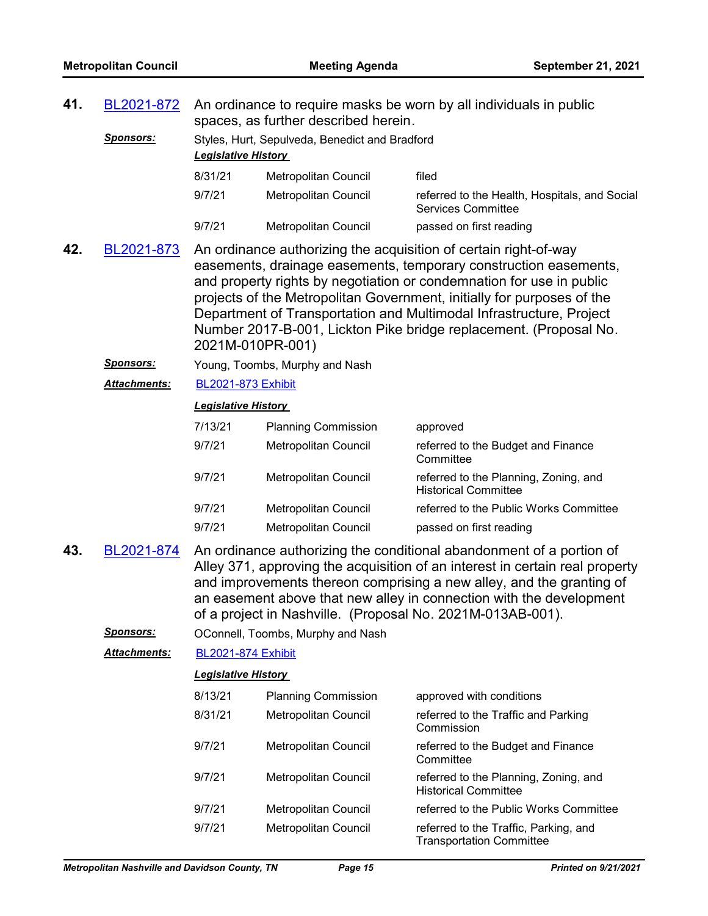| 41.                                                                                                                                                                                                                                                                                                                                                                                    | An ordinance to require masks be worn by all individuals in public<br>BL2021-872<br>spaces, as further described herein.                                                                                                                                                                                                                                                                                                                                             |                            |                                                |                                                                            |  |  |
|----------------------------------------------------------------------------------------------------------------------------------------------------------------------------------------------------------------------------------------------------------------------------------------------------------------------------------------------------------------------------------------|----------------------------------------------------------------------------------------------------------------------------------------------------------------------------------------------------------------------------------------------------------------------------------------------------------------------------------------------------------------------------------------------------------------------------------------------------------------------|----------------------------|------------------------------------------------|----------------------------------------------------------------------------|--|--|
|                                                                                                                                                                                                                                                                                                                                                                                        | <u>Sponsors:</u>                                                                                                                                                                                                                                                                                                                                                                                                                                                     | <b>Legislative History</b> | Styles, Hurt, Sepulveda, Benedict and Bradford |                                                                            |  |  |
|                                                                                                                                                                                                                                                                                                                                                                                        |                                                                                                                                                                                                                                                                                                                                                                                                                                                                      | 8/31/21                    | Metropolitan Council                           | filed                                                                      |  |  |
|                                                                                                                                                                                                                                                                                                                                                                                        |                                                                                                                                                                                                                                                                                                                                                                                                                                                                      | 9/7/21                     | Metropolitan Council                           | referred to the Health, Hospitals, and Social<br><b>Services Committee</b> |  |  |
|                                                                                                                                                                                                                                                                                                                                                                                        |                                                                                                                                                                                                                                                                                                                                                                                                                                                                      | 9/7/21                     | Metropolitan Council                           | passed on first reading                                                    |  |  |
| 42.                                                                                                                                                                                                                                                                                                                                                                                    | BL2021-873<br>An ordinance authorizing the acquisition of certain right-of-way<br>easements, drainage easements, temporary construction easements,<br>and property rights by negotiation or condemnation for use in public<br>projects of the Metropolitan Government, initially for purposes of the<br>Department of Transportation and Multimodal Infrastructure, Project<br>Number 2017-B-001, Lickton Pike bridge replacement. (Proposal No.<br>2021M-010PR-001) |                            |                                                |                                                                            |  |  |
|                                                                                                                                                                                                                                                                                                                                                                                        | <u>Sponsors:</u>                                                                                                                                                                                                                                                                                                                                                                                                                                                     |                            | Young, Toombs, Murphy and Nash                 |                                                                            |  |  |
|                                                                                                                                                                                                                                                                                                                                                                                        | <b>Attachments:</b>                                                                                                                                                                                                                                                                                                                                                                                                                                                  | <b>BL2021-873 Exhibit</b>  |                                                |                                                                            |  |  |
|                                                                                                                                                                                                                                                                                                                                                                                        |                                                                                                                                                                                                                                                                                                                                                                                                                                                                      | <b>Legislative History</b> |                                                |                                                                            |  |  |
|                                                                                                                                                                                                                                                                                                                                                                                        |                                                                                                                                                                                                                                                                                                                                                                                                                                                                      | 7/13/21                    | <b>Planning Commission</b>                     | approved                                                                   |  |  |
|                                                                                                                                                                                                                                                                                                                                                                                        |                                                                                                                                                                                                                                                                                                                                                                                                                                                                      | 9/7/21                     | Metropolitan Council                           | referred to the Budget and Finance<br>Committee                            |  |  |
|                                                                                                                                                                                                                                                                                                                                                                                        |                                                                                                                                                                                                                                                                                                                                                                                                                                                                      | 9/7/21                     | Metropolitan Council                           | referred to the Planning, Zoning, and<br><b>Historical Committee</b>       |  |  |
|                                                                                                                                                                                                                                                                                                                                                                                        |                                                                                                                                                                                                                                                                                                                                                                                                                                                                      | 9/7/21                     | Metropolitan Council                           | referred to the Public Works Committee                                     |  |  |
|                                                                                                                                                                                                                                                                                                                                                                                        |                                                                                                                                                                                                                                                                                                                                                                                                                                                                      | 9/7/21                     | Metropolitan Council                           | passed on first reading                                                    |  |  |
| 43.<br>An ordinance authorizing the conditional abandonment of a portion of<br>BL2021-874<br>Alley 371, approving the acquisition of an interest in certain real property<br>and improvements thereon comprising a new alley, and the granting of<br>an easement above that new alley in connection with the development<br>of a project in Nashville. (Proposal No. 2021M-013AB-001). |                                                                                                                                                                                                                                                                                                                                                                                                                                                                      |                            |                                                |                                                                            |  |  |
|                                                                                                                                                                                                                                                                                                                                                                                        | <u>Sponsors:</u>                                                                                                                                                                                                                                                                                                                                                                                                                                                     |                            | OConnell, Toombs, Murphy and Nash              |                                                                            |  |  |
|                                                                                                                                                                                                                                                                                                                                                                                        | <b>Attachments:</b>                                                                                                                                                                                                                                                                                                                                                                                                                                                  | <b>BL2021-874 Exhibit</b>  |                                                |                                                                            |  |  |
|                                                                                                                                                                                                                                                                                                                                                                                        |                                                                                                                                                                                                                                                                                                                                                                                                                                                                      | <b>Legislative History</b> |                                                |                                                                            |  |  |
|                                                                                                                                                                                                                                                                                                                                                                                        |                                                                                                                                                                                                                                                                                                                                                                                                                                                                      | 8/13/21                    | <b>Planning Commission</b>                     | approved with conditions                                                   |  |  |
|                                                                                                                                                                                                                                                                                                                                                                                        |                                                                                                                                                                                                                                                                                                                                                                                                                                                                      | 8/31/21                    | Metropolitan Council                           | referred to the Traffic and Parking<br>Commission                          |  |  |
|                                                                                                                                                                                                                                                                                                                                                                                        |                                                                                                                                                                                                                                                                                                                                                                                                                                                                      | 9/7/21                     | Metropolitan Council                           | referred to the Budget and Finance<br>Committee                            |  |  |
|                                                                                                                                                                                                                                                                                                                                                                                        |                                                                                                                                                                                                                                                                                                                                                                                                                                                                      | 9/7/21                     | Metropolitan Council                           | referred to the Planning, Zoning, and<br><b>Historical Committee</b>       |  |  |
|                                                                                                                                                                                                                                                                                                                                                                                        |                                                                                                                                                                                                                                                                                                                                                                                                                                                                      | 9/7/21                     | Metropolitan Council                           | referred to the Public Works Committee                                     |  |  |
|                                                                                                                                                                                                                                                                                                                                                                                        |                                                                                                                                                                                                                                                                                                                                                                                                                                                                      | 9/7/21                     | Metropolitan Council                           | referred to the Traffic, Parking, and<br><b>Transportation Committee</b>   |  |  |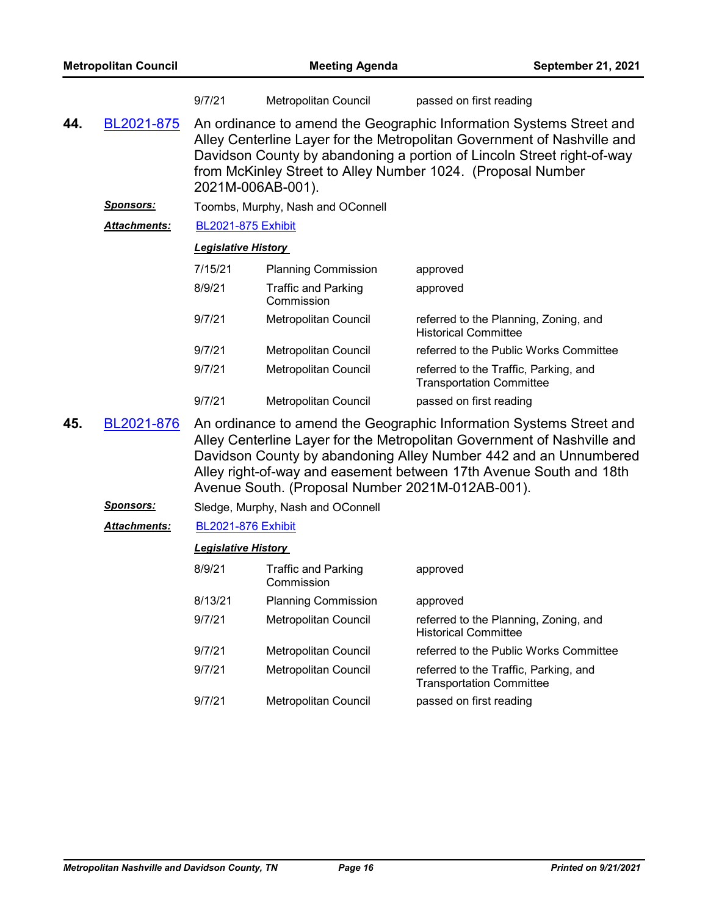|     |                     | 9/7/21                                                                                                                                                                                                                                                                                                       | Metropolitan Council              | passed on first reading                                                  |  |
|-----|---------------------|--------------------------------------------------------------------------------------------------------------------------------------------------------------------------------------------------------------------------------------------------------------------------------------------------------------|-----------------------------------|--------------------------------------------------------------------------|--|
| 44. | BL2021-875          | An ordinance to amend the Geographic Information Systems Street and<br>Alley Centerline Layer for the Metropolitan Government of Nashville and<br>Davidson County by abandoning a portion of Lincoln Street right-of-way<br>from McKinley Street to Alley Number 1024. (Proposal Number<br>2021M-006AB-001). |                                   |                                                                          |  |
|     | <u>Sponsors:</u>    |                                                                                                                                                                                                                                                                                                              | Toombs, Murphy, Nash and OConnell |                                                                          |  |
|     | Attachments:        | <b>BL2021-875 Exhibit</b>                                                                                                                                                                                                                                                                                    |                                   |                                                                          |  |
|     |                     | <b>Legislative History</b>                                                                                                                                                                                                                                                                                   |                                   |                                                                          |  |
|     |                     | 7/15/21                                                                                                                                                                                                                                                                                                      | <b>Planning Commission</b>        | approved                                                                 |  |
|     |                     | 8/9/21                                                                                                                                                                                                                                                                                                       | Traffic and Parking<br>Commission | approved                                                                 |  |
|     |                     | 9/7/21                                                                                                                                                                                                                                                                                                       | Metropolitan Council              | referred to the Planning, Zoning, and<br><b>Historical Committee</b>     |  |
|     |                     | 9/7/21                                                                                                                                                                                                                                                                                                       | Metropolitan Council              | referred to the Public Works Committee                                   |  |
|     |                     | 9/7/21                                                                                                                                                                                                                                                                                                       | Metropolitan Council              | referred to the Traffic, Parking, and<br><b>Transportation Committee</b> |  |
|     |                     | 9/7/21                                                                                                                                                                                                                                                                                                       | Metropolitan Council              | passed on first reading                                                  |  |
| A E | <u>DI AAA4 070.</u> |                                                                                                                                                                                                                                                                                                              |                                   | An erdinanee to amend the Coorrentia Information Custome Ctreet and      |  |

An ordinance to amend the Geographic Information Systems Street and Alley Centerline Layer for the Metropolitan Government of Nashville and Davidson County by abandoning Alley Number 442 and an Unnumbered Alley right-of-way and easement between 17th Avenue South and 18th Avenue South. (Proposal Number 2021M-012AB-001). **45.** [BL2021-876](http://nashville.legistar.com/gateway.aspx?m=l&id=/matter.aspx?key=13488)

*Sponsors:* Sledge, Murphy, Nash and OConnell *Attachments:* [BL2021-876 Exhibit](http://nashville.legistar.com/gateway.aspx?M=F&ID=5cea85c4-538a-48e8-a35c-0c8dd92f9d1c.docx) *Legislative History*  8/9/21 Traffic and Parking **Commission** approved 8/13/21 Planning Commission approved 9/7/21 Metropolitan Council referred to the Planning, Zoning, and Historical Committee 9/7/21 Metropolitan Council referred to the Public Works Committee 9/7/21 Metropolitan Council referred to the Traffic, Parking, and Transportation Committee 9/7/21 Metropolitan Council passed on first reading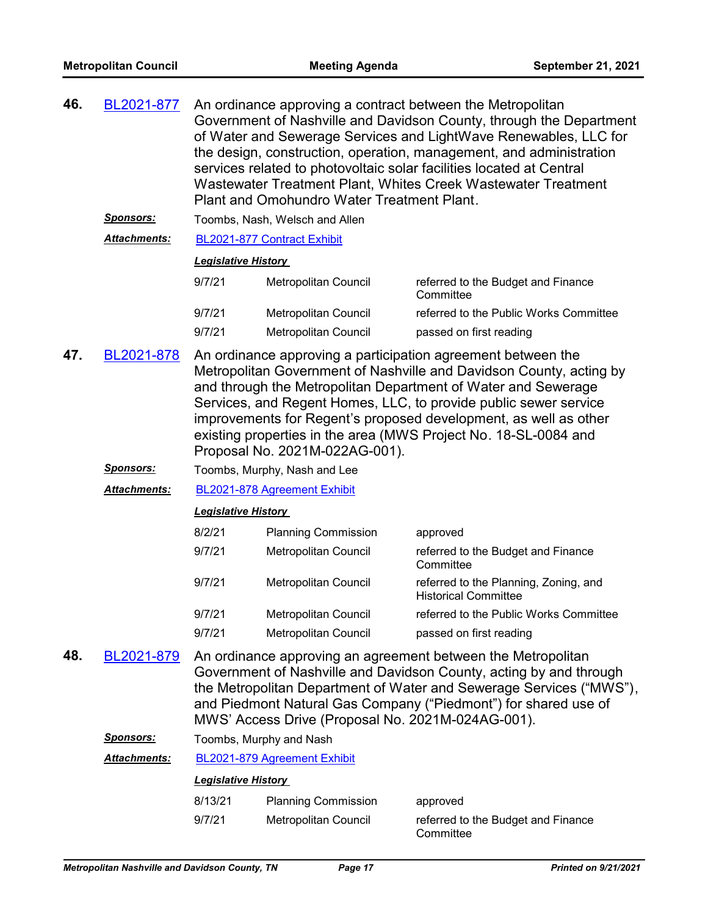| 46. | BL2021-877                          | An ordinance approving a contract between the Metropolitan<br>Government of Nashville and Davidson County, through the Department<br>of Water and Sewerage Services and LightWave Renewables, LLC for<br>the design, construction, operation, management, and administration<br>services related to photovoltaic solar facilities located at Central<br>Wastewater Treatment Plant, Whites Creek Wastewater Treatment<br>Plant and Omohundro Water Treatment Plant. |                                                                              |                                                                                                                                                                                                                                                                              |  |
|-----|-------------------------------------|---------------------------------------------------------------------------------------------------------------------------------------------------------------------------------------------------------------------------------------------------------------------------------------------------------------------------------------------------------------------------------------------------------------------------------------------------------------------|------------------------------------------------------------------------------|------------------------------------------------------------------------------------------------------------------------------------------------------------------------------------------------------------------------------------------------------------------------------|--|
|     | <u>Sponsors:</u>                    |                                                                                                                                                                                                                                                                                                                                                                                                                                                                     | Toombs, Nash, Welsch and Allen                                               |                                                                                                                                                                                                                                                                              |  |
|     | <b>Attachments:</b>                 |                                                                                                                                                                                                                                                                                                                                                                                                                                                                     | BL2021-877 Contract Exhibit                                                  |                                                                                                                                                                                                                                                                              |  |
|     |                                     | <b>Legislative History</b>                                                                                                                                                                                                                                                                                                                                                                                                                                          |                                                                              |                                                                                                                                                                                                                                                                              |  |
|     |                                     | 9/7/21                                                                                                                                                                                                                                                                                                                                                                                                                                                              | Metropolitan Council                                                         | referred to the Budget and Finance<br>Committee                                                                                                                                                                                                                              |  |
|     |                                     | 9/7/21                                                                                                                                                                                                                                                                                                                                                                                                                                                              | Metropolitan Council                                                         | referred to the Public Works Committee                                                                                                                                                                                                                                       |  |
|     |                                     | 9/7/21                                                                                                                                                                                                                                                                                                                                                                                                                                                              | Metropolitan Council                                                         | passed on first reading                                                                                                                                                                                                                                                      |  |
| 47. | BL2021-878                          | An ordinance approving a participation agreement between the<br>Metropolitan Government of Nashville and Davidson County, acting by<br>and through the Metropolitan Department of Water and Sewerage<br>Services, and Regent Homes, LLC, to provide public sewer service<br>improvements for Regent's proposed development, as well as other<br>existing properties in the area (MWS Project No. 18-SL-0084 and<br>Proposal No. 2021M-022AG-001).                   |                                                                              |                                                                                                                                                                                                                                                                              |  |
|     | <u>Sponsors:</u>                    | Toombs, Murphy, Nash and Lee                                                                                                                                                                                                                                                                                                                                                                                                                                        |                                                                              |                                                                                                                                                                                                                                                                              |  |
|     | <b>Attachments:</b>                 | BL2021-878 Agreement Exhibit                                                                                                                                                                                                                                                                                                                                                                                                                                        |                                                                              |                                                                                                                                                                                                                                                                              |  |
|     |                                     | <b>Legislative History</b>                                                                                                                                                                                                                                                                                                                                                                                                                                          |                                                                              |                                                                                                                                                                                                                                                                              |  |
|     |                                     | 8/2/21                                                                                                                                                                                                                                                                                                                                                                                                                                                              | <b>Planning Commission</b>                                                   | approved                                                                                                                                                                                                                                                                     |  |
|     |                                     | 9/7/21                                                                                                                                                                                                                                                                                                                                                                                                                                                              | Metropolitan Council                                                         | referred to the Budget and Finance<br>Committee                                                                                                                                                                                                                              |  |
|     |                                     | 9/7/21                                                                                                                                                                                                                                                                                                                                                                                                                                                              | Metropolitan Council                                                         | referred to the Planning, Zoning, and<br><b>Historical Committee</b>                                                                                                                                                                                                         |  |
|     |                                     | 9/7/21                                                                                                                                                                                                                                                                                                                                                                                                                                                              | Metropolitan Council                                                         | referred to the Public Works Committee                                                                                                                                                                                                                                       |  |
|     |                                     | 9/7/21                                                                                                                                                                                                                                                                                                                                                                                                                                                              | Metropolitan Council                                                         | passed on first reading                                                                                                                                                                                                                                                      |  |
| 48. | BL2021-879<br>Snonsors <sup>.</sup> |                                                                                                                                                                                                                                                                                                                                                                                                                                                                     | MWS' Access Drive (Proposal No. 2021M-024AG-001).<br>Toombo, Murphy and Noch | An ordinance approving an agreement between the Metropolitan<br>Government of Nashville and Davidson County, acting by and through<br>the Metropolitan Department of Water and Sewerage Services ("MWS"),<br>and Piedmont Natural Gas Company ("Piedmont") for shared use of |  |

*Sponsors:* Toombs, Murphy and Nash

*Attachments:* [BL2021-879 Agreement Exhibit](http://nashville.legistar.com/gateway.aspx?M=F&ID=a61af849-5752-46b7-ba61-c8b99520aca9.pdf)

| 8/13/21 | <b>Planning Commission</b> | approved                                        |
|---------|----------------------------|-------------------------------------------------|
| 9/7/21  | Metropolitan Council       | referred to the Budget and Finance<br>Committee |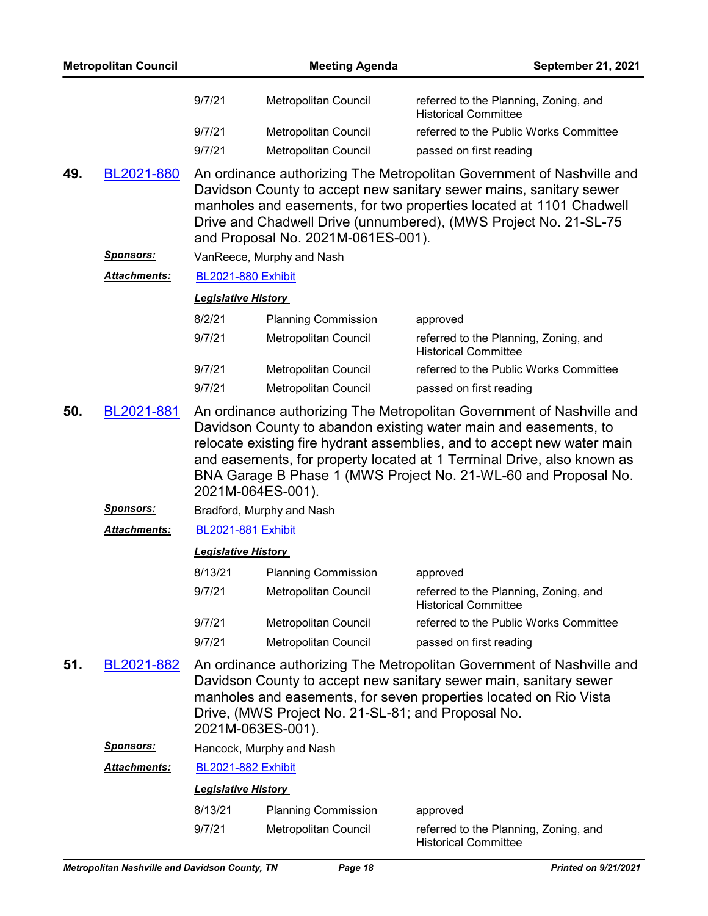|     | <b>Metropolitan Council</b> |                                                                                                                                                                                                                                                                                                                                                                                        | <b>Meeting Agenda</b>                              | September 21, 2021                                                                                                                                                                                                                                                                     |  |
|-----|-----------------------------|----------------------------------------------------------------------------------------------------------------------------------------------------------------------------------------------------------------------------------------------------------------------------------------------------------------------------------------------------------------------------------------|----------------------------------------------------|----------------------------------------------------------------------------------------------------------------------------------------------------------------------------------------------------------------------------------------------------------------------------------------|--|
|     |                             | 9/7/21                                                                                                                                                                                                                                                                                                                                                                                 | Metropolitan Council                               | referred to the Planning, Zoning, and<br><b>Historical Committee</b>                                                                                                                                                                                                                   |  |
|     |                             | 9/7/21                                                                                                                                                                                                                                                                                                                                                                                 | Metropolitan Council                               | referred to the Public Works Committee                                                                                                                                                                                                                                                 |  |
|     |                             | 9/7/21                                                                                                                                                                                                                                                                                                                                                                                 | Metropolitan Council                               | passed on first reading                                                                                                                                                                                                                                                                |  |
| 49. | BL2021-880                  |                                                                                                                                                                                                                                                                                                                                                                                        | and Proposal No. 2021M-061ES-001).                 | An ordinance authorizing The Metropolitan Government of Nashville and<br>Davidson County to accept new sanitary sewer mains, sanitary sewer<br>manholes and easements, for two properties located at 1101 Chadwell<br>Drive and Chadwell Drive (unnumbered), (MWS Project No. 21-SL-75 |  |
|     | <u>Sponsors:</u>            |                                                                                                                                                                                                                                                                                                                                                                                        | VanReece, Murphy and Nash                          |                                                                                                                                                                                                                                                                                        |  |
|     | Attachments:                | <b>BL2021-880 Exhibit</b>                                                                                                                                                                                                                                                                                                                                                              |                                                    |                                                                                                                                                                                                                                                                                        |  |
|     |                             | <b>Legislative History</b>                                                                                                                                                                                                                                                                                                                                                             |                                                    |                                                                                                                                                                                                                                                                                        |  |
|     |                             | 8/2/21                                                                                                                                                                                                                                                                                                                                                                                 | <b>Planning Commission</b>                         | approved                                                                                                                                                                                                                                                                               |  |
|     |                             | 9/7/21                                                                                                                                                                                                                                                                                                                                                                                 | Metropolitan Council                               | referred to the Planning, Zoning, and<br><b>Historical Committee</b>                                                                                                                                                                                                                   |  |
|     |                             | 9/7/21                                                                                                                                                                                                                                                                                                                                                                                 | Metropolitan Council                               | referred to the Public Works Committee                                                                                                                                                                                                                                                 |  |
|     |                             | 9/7/21                                                                                                                                                                                                                                                                                                                                                                                 | <b>Metropolitan Council</b>                        | passed on first reading                                                                                                                                                                                                                                                                |  |
| 50. | BL2021-881                  | An ordinance authorizing The Metropolitan Government of Nashville and<br>Davidson County to abandon existing water main and easements, to<br>relocate existing fire hydrant assemblies, and to accept new water main<br>and easements, for property located at 1 Terminal Drive, also known as<br>BNA Garage B Phase 1 (MWS Project No. 21-WL-60 and Proposal No.<br>2021M-064ES-001). |                                                    |                                                                                                                                                                                                                                                                                        |  |
|     | <u>Sponsors:</u>            |                                                                                                                                                                                                                                                                                                                                                                                        | Bradford, Murphy and Nash                          |                                                                                                                                                                                                                                                                                        |  |
|     | Attachments:                | <b>BL2021-881 Exhibit</b>                                                                                                                                                                                                                                                                                                                                                              |                                                    |                                                                                                                                                                                                                                                                                        |  |
|     |                             | <b>Legislative History</b>                                                                                                                                                                                                                                                                                                                                                             |                                                    |                                                                                                                                                                                                                                                                                        |  |
|     |                             | 8/13/21                                                                                                                                                                                                                                                                                                                                                                                | <b>Planning Commission</b>                         | approved                                                                                                                                                                                                                                                                               |  |
|     |                             | 9/7/21                                                                                                                                                                                                                                                                                                                                                                                 | Metropolitan Council                               | referred to the Planning, Zoning, and<br><b>Historical Committee</b>                                                                                                                                                                                                                   |  |
|     |                             | 9/7/21                                                                                                                                                                                                                                                                                                                                                                                 | Metropolitan Council                               | referred to the Public Works Committee                                                                                                                                                                                                                                                 |  |
|     |                             | 9/7/21                                                                                                                                                                                                                                                                                                                                                                                 | <b>Metropolitan Council</b>                        | passed on first reading                                                                                                                                                                                                                                                                |  |
| 51. | BL2021-882                  | 2021M-063ES-001).                                                                                                                                                                                                                                                                                                                                                                      | Drive, (MWS Project No. 21-SL-81; and Proposal No. | An ordinance authorizing The Metropolitan Government of Nashville and<br>Davidson County to accept new sanitary sewer main, sanitary sewer<br>manholes and easements, for seven properties located on Rio Vista                                                                        |  |
|     | <u>Sponsors:</u>            |                                                                                                                                                                                                                                                                                                                                                                                        | Hancock, Murphy and Nash                           |                                                                                                                                                                                                                                                                                        |  |
|     | <b>Attachments:</b>         | <b>BL2021-882 Exhibit</b>                                                                                                                                                                                                                                                                                                                                                              |                                                    |                                                                                                                                                                                                                                                                                        |  |
|     |                             | <b>Legislative History</b>                                                                                                                                                                                                                                                                                                                                                             |                                                    |                                                                                                                                                                                                                                                                                        |  |
|     |                             | 8/13/21                                                                                                                                                                                                                                                                                                                                                                                | <b>Planning Commission</b>                         | approved                                                                                                                                                                                                                                                                               |  |
|     |                             | 9/7/21                                                                                                                                                                                                                                                                                                                                                                                 | Metropolitan Council                               | referred to the Planning, Zoning, and<br><b>Historical Committee</b>                                                                                                                                                                                                                   |  |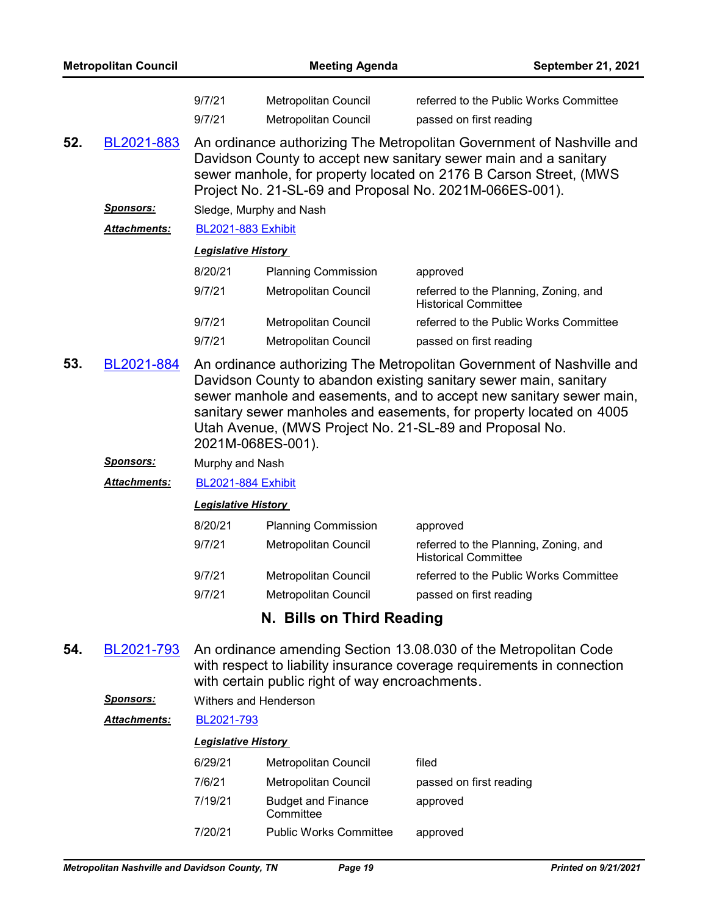| <b>Metropolitan Council</b> |                     | <b>Meeting Agenda</b>                                                                                                                                                                                                                                                     |                                                     | <b>September 21, 2021</b>                                                                                                                                                                                                                                                                                                                           |  |  |
|-----------------------------|---------------------|---------------------------------------------------------------------------------------------------------------------------------------------------------------------------------------------------------------------------------------------------------------------------|-----------------------------------------------------|-----------------------------------------------------------------------------------------------------------------------------------------------------------------------------------------------------------------------------------------------------------------------------------------------------------------------------------------------------|--|--|
|                             |                     | 9/7/21<br>9/7/21                                                                                                                                                                                                                                                          | Metropolitan Council<br><b>Metropolitan Council</b> | referred to the Public Works Committee<br>passed on first reading                                                                                                                                                                                                                                                                                   |  |  |
| 52.                         | BL2021-883          | An ordinance authorizing The Metropolitan Government of Nashville and<br>Davidson County to accept new sanitary sewer main and a sanitary<br>sewer manhole, for property located on 2176 B Carson Street, (MWS<br>Project No. 21-SL-69 and Proposal No. 2021M-066ES-001). |                                                     |                                                                                                                                                                                                                                                                                                                                                     |  |  |
|                             | <b>Sponsors:</b>    |                                                                                                                                                                                                                                                                           | Sledge, Murphy and Nash                             |                                                                                                                                                                                                                                                                                                                                                     |  |  |
|                             | <b>Attachments:</b> | <b>BL2021-883 Exhibit</b>                                                                                                                                                                                                                                                 |                                                     |                                                                                                                                                                                                                                                                                                                                                     |  |  |
|                             |                     | <b>Legislative History</b>                                                                                                                                                                                                                                                |                                                     |                                                                                                                                                                                                                                                                                                                                                     |  |  |
|                             |                     | 8/20/21                                                                                                                                                                                                                                                                   | <b>Planning Commission</b>                          | approved                                                                                                                                                                                                                                                                                                                                            |  |  |
|                             |                     | 9/7/21                                                                                                                                                                                                                                                                    | Metropolitan Council                                | referred to the Planning, Zoning, and<br><b>Historical Committee</b>                                                                                                                                                                                                                                                                                |  |  |
|                             |                     | 9/7/21                                                                                                                                                                                                                                                                    | Metropolitan Council                                | referred to the Public Works Committee                                                                                                                                                                                                                                                                                                              |  |  |
|                             |                     | 9/7/21                                                                                                                                                                                                                                                                    | Metropolitan Council                                | passed on first reading                                                                                                                                                                                                                                                                                                                             |  |  |
| 53.                         | BL2021-884          |                                                                                                                                                                                                                                                                           |                                                     | An ordinance authorizing The Metropolitan Government of Nashville and<br>Davidson County to abandon existing sanitary sewer main, sanitary<br>sewer manhole and easements, and to accept new sanitary sewer main,<br>sanitary sewer manholes and easements, for property located on 4005<br>Utah Avenue, (MWS Project No. 21-SL-89 and Proposal No. |  |  |

- *Sponsors:* Murphy and Nash
- *Attachments:* [BL2021-884 Exhibit](http://nashville.legistar.com/gateway.aspx?M=F&ID=f23a379e-337a-4af1-bff9-5459762f5cde.pdf)

### *Legislative History*

2021M-068ES-001).

| 8/20/21 | <b>Planning Commission</b>  | approved                                                             |
|---------|-----------------------------|----------------------------------------------------------------------|
| 9/7/21  | Metropolitan Council        | referred to the Planning, Zoning, and<br><b>Historical Committee</b> |
| 9/7/21  | <b>Metropolitan Council</b> | referred to the Public Works Committee                               |
| 9/7/21  | Metropolitan Council        | passed on first reading                                              |
|         |                             |                                                                      |

# **N. Bills on Third Reading**

- An ordinance amending Section 13.08.030 of the Metropolitan Code with respect to liability insurance coverage requirements in connection with certain public right of way encroachments. **54.** [BL2021-793](http://nashville.legistar.com/gateway.aspx?m=l&id=/matter.aspx?key=13338)
	- *Sponsors:* Withers and Henderson

### *Attachments:* [BL2021-793](http://nashville.legistar.com/gateway.aspx?M=F&ID=22e1cd4b-4b61-43fe-9d64-e40a54bfb715.pdf)

| 6/29/21 | Metropolitan Council                   | filed                   |
|---------|----------------------------------------|-------------------------|
| 7/6/21  | Metropolitan Council                   | passed on first reading |
| 7/19/21 | <b>Budget and Finance</b><br>Committee | approved                |
| 7/20/21 | <b>Public Works Committee</b>          | approved                |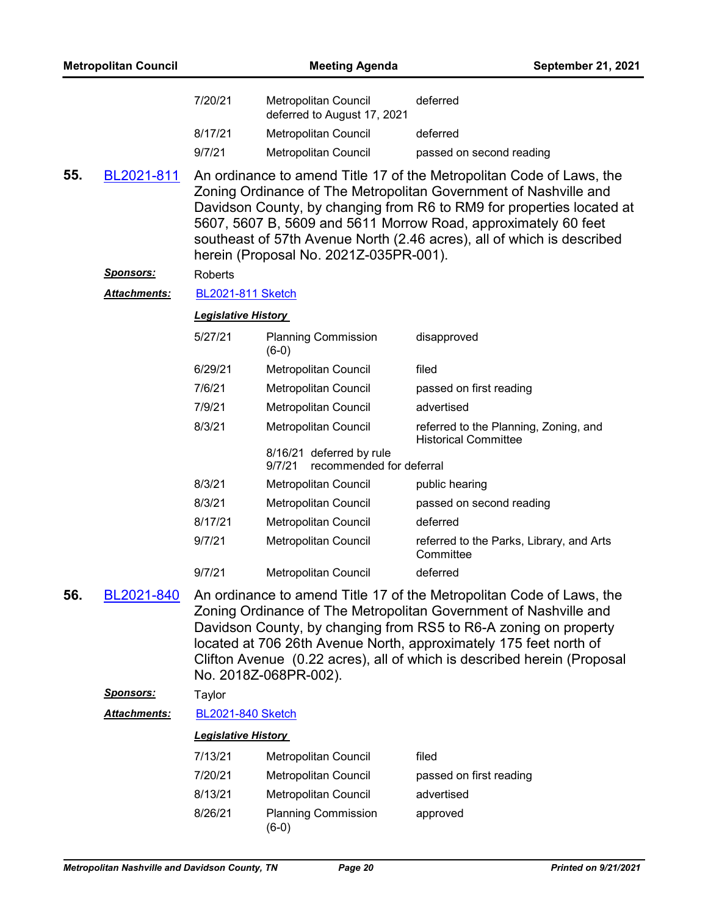|     | <b>Metropolitan Council</b> |                            | <b>Meeting Agenda</b>                                          | September 21, 2021                                                                                                                                                                                                                                                                                                                                            |
|-----|-----------------------------|----------------------------|----------------------------------------------------------------|---------------------------------------------------------------------------------------------------------------------------------------------------------------------------------------------------------------------------------------------------------------------------------------------------------------------------------------------------------------|
|     |                             | 7/20/21                    | Metropolitan Council<br>deferred to August 17, 2021            | deferred                                                                                                                                                                                                                                                                                                                                                      |
|     |                             | 8/17/21                    | Metropolitan Council                                           | deferred                                                                                                                                                                                                                                                                                                                                                      |
|     |                             | 9/7/21                     | Metropolitan Council                                           | passed on second reading                                                                                                                                                                                                                                                                                                                                      |
| 55. | BL2021-811                  |                            | herein (Proposal No. 2021Z-035PR-001).                         | An ordinance to amend Title 17 of the Metropolitan Code of Laws, the<br>Zoning Ordinance of The Metropolitan Government of Nashville and<br>Davidson County, by changing from R6 to RM9 for properties located at<br>5607, 5607 B, 5609 and 5611 Morrow Road, approximately 60 feet<br>southeast of 57th Avenue North (2.46 acres), all of which is described |
|     | <u>Sponsors:</u>            | <b>Roberts</b>             |                                                                |                                                                                                                                                                                                                                                                                                                                                               |
|     | Attachments:                | <b>BL2021-811 Sketch</b>   |                                                                |                                                                                                                                                                                                                                                                                                                                                               |
|     |                             | <b>Legislative History</b> |                                                                |                                                                                                                                                                                                                                                                                                                                                               |
|     |                             | 5/27/21                    | <b>Planning Commission</b><br>$(6-0)$                          | disapproved                                                                                                                                                                                                                                                                                                                                                   |
|     |                             | 6/29/21                    | Metropolitan Council                                           | filed                                                                                                                                                                                                                                                                                                                                                         |
|     |                             | 7/6/21                     | Metropolitan Council                                           | passed on first reading                                                                                                                                                                                                                                                                                                                                       |
|     |                             | 7/9/21                     | Metropolitan Council                                           | advertised                                                                                                                                                                                                                                                                                                                                                    |
|     |                             | 8/3/21                     | Metropolitan Council                                           | referred to the Planning, Zoning, and<br><b>Historical Committee</b>                                                                                                                                                                                                                                                                                          |
|     |                             |                            | 8/16/21 deferred by rule<br>9/7/21<br>recommended for deferral |                                                                                                                                                                                                                                                                                                                                                               |
|     |                             | 8/3/21                     | Metropolitan Council                                           | public hearing                                                                                                                                                                                                                                                                                                                                                |
|     |                             | 8/3/21                     | Metropolitan Council                                           | passed on second reading                                                                                                                                                                                                                                                                                                                                      |
|     |                             | 8/17/21                    | Metropolitan Council                                           | deferred                                                                                                                                                                                                                                                                                                                                                      |
|     |                             | 9/7/21                     | Metropolitan Council                                           | referred to the Parks, Library, and Arts<br>Committee                                                                                                                                                                                                                                                                                                         |
|     |                             | 9/7/21                     | Metropolitan Council                                           | deferred                                                                                                                                                                                                                                                                                                                                                      |
| 56. | BL2021-840                  |                            | No. 2018Z-068PR-002).                                          | An ordinance to amend Title 17 of the Metropolitan Code of Laws, the<br>Zoning Ordinance of The Metropolitan Government of Nashville and<br>Davidson County, by changing from RS5 to R6-A zoning on property<br>located at 706 26th Avenue North, approximately 175 feet north of<br>Clifton Avenue (0.22 acres), all of which is described herein (Proposal  |
|     | <u>Sponsors:</u>            | Taylor                     |                                                                |                                                                                                                                                                                                                                                                                                                                                               |
|     | Attachments:                | <b>BL2021-840 Sketch</b>   |                                                                |                                                                                                                                                                                                                                                                                                                                                               |
|     |                             | <b>Legislative History</b> |                                                                |                                                                                                                                                                                                                                                                                                                                                               |
|     |                             | 7/13/21                    | Metropolitan Council                                           | filed                                                                                                                                                                                                                                                                                                                                                         |
|     |                             | 7/20/21                    | Metropolitan Council                                           | passed on first reading                                                                                                                                                                                                                                                                                                                                       |
|     |                             | 8/13/21                    | Metropolitan Council                                           | advertised                                                                                                                                                                                                                                                                                                                                                    |
|     |                             | 8/26/21                    | <b>Planning Commission</b><br>$(6-0)$                          | approved                                                                                                                                                                                                                                                                                                                                                      |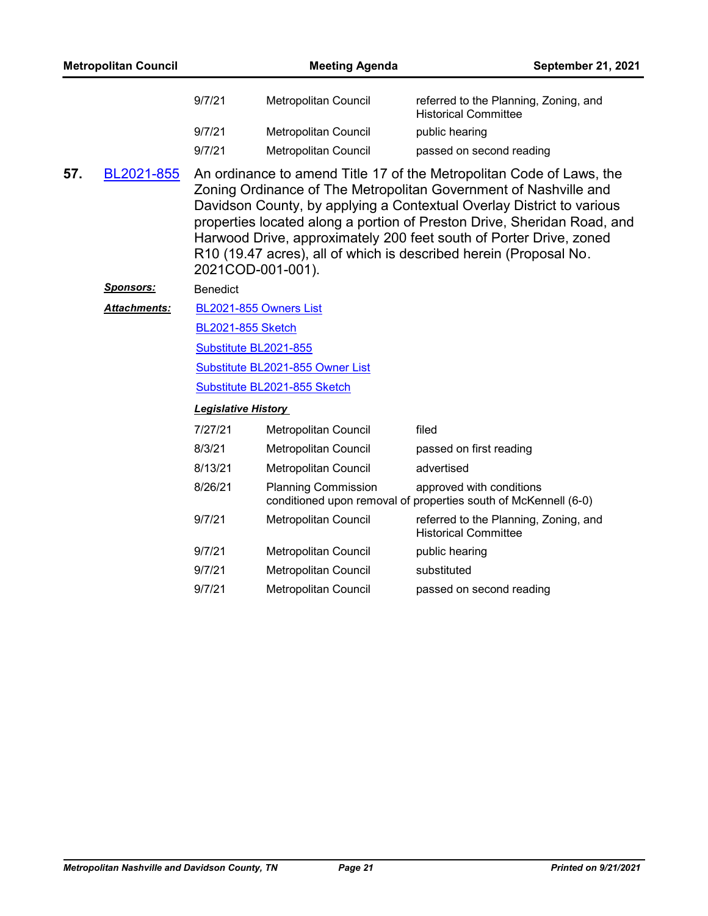|     | <b>Metropolitan Council</b> |                            | <b>Meeting Agenda</b>            | September 21, 2021                                                                                                                                                                                                                                                                                                                                                                                                                      |
|-----|-----------------------------|----------------------------|----------------------------------|-----------------------------------------------------------------------------------------------------------------------------------------------------------------------------------------------------------------------------------------------------------------------------------------------------------------------------------------------------------------------------------------------------------------------------------------|
|     |                             | 9/7/21                     | Metropolitan Council             | referred to the Planning, Zoning, and<br><b>Historical Committee</b>                                                                                                                                                                                                                                                                                                                                                                    |
|     |                             | 9/7/21                     | Metropolitan Council             | public hearing                                                                                                                                                                                                                                                                                                                                                                                                                          |
|     |                             | 9/7/21                     | <b>Metropolitan Council</b>      | passed on second reading                                                                                                                                                                                                                                                                                                                                                                                                                |
| 57. | BL2021-855                  | 2021COD-001-001).          |                                  | An ordinance to amend Title 17 of the Metropolitan Code of Laws, the<br>Zoning Ordinance of The Metropolitan Government of Nashville and<br>Davidson County, by applying a Contextual Overlay District to various<br>properties located along a portion of Preston Drive, Sheridan Road, and<br>Harwood Drive, approximately 200 feet south of Porter Drive, zoned<br>R10 (19.47 acres), all of which is described herein (Proposal No. |
|     | <b>Sponsors:</b>            | <b>Benedict</b>            |                                  |                                                                                                                                                                                                                                                                                                                                                                                                                                         |
|     | Attachments:                |                            | BL2021-855 Owners List           |                                                                                                                                                                                                                                                                                                                                                                                                                                         |
|     |                             | <b>BL2021-855 Sketch</b>   |                                  |                                                                                                                                                                                                                                                                                                                                                                                                                                         |
|     |                             | Substitute BL2021-855      |                                  |                                                                                                                                                                                                                                                                                                                                                                                                                                         |
|     |                             |                            | Substitute BL2021-855 Owner List |                                                                                                                                                                                                                                                                                                                                                                                                                                         |
|     |                             |                            | Substitute BL2021-855 Sketch     |                                                                                                                                                                                                                                                                                                                                                                                                                                         |
|     |                             | <b>Legislative History</b> |                                  |                                                                                                                                                                                                                                                                                                                                                                                                                                         |
|     |                             | 7/27/21                    | Metropolitan Council             | filed                                                                                                                                                                                                                                                                                                                                                                                                                                   |
|     |                             | 8/3/21                     | Metropolitan Council             | passed on first reading                                                                                                                                                                                                                                                                                                                                                                                                                 |
|     |                             | 8/13/21                    | Metropolitan Council             | advertised                                                                                                                                                                                                                                                                                                                                                                                                                              |
|     |                             | 8/26/21                    | <b>Planning Commission</b>       | approved with conditions<br>conditioned upon removal of properties south of McKennell (6-0)                                                                                                                                                                                                                                                                                                                                             |
|     |                             | 9/7/21                     | Metropolitan Council             | referred to the Planning, Zoning, and<br><b>Historical Committee</b>                                                                                                                                                                                                                                                                                                                                                                    |
|     |                             | 9/7/21                     | Metropolitan Council             | public hearing                                                                                                                                                                                                                                                                                                                                                                                                                          |
|     |                             | 9/7/21                     | Metropolitan Council             | substituted                                                                                                                                                                                                                                                                                                                                                                                                                             |
|     |                             | 9/7/21                     | Metropolitan Council             | passed on second reading                                                                                                                                                                                                                                                                                                                                                                                                                |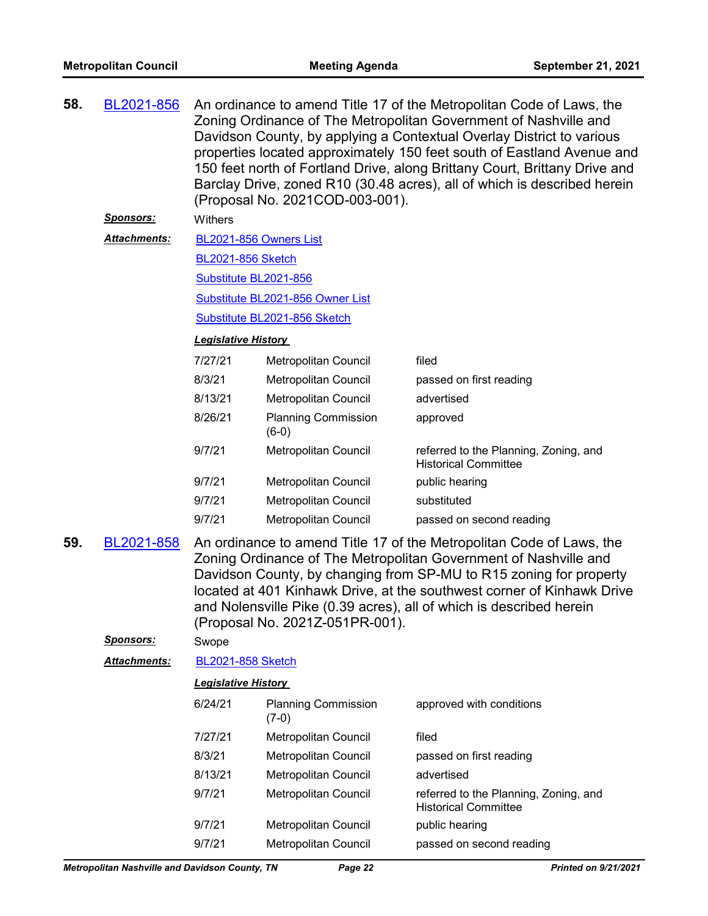| 58. | BL2021-856           | An ordinance to amend Title 17 of the Metropolitan Code of Laws, the<br>Zoning Ordinance of The Metropolitan Government of Nashville and<br>Davidson County, by applying a Contextual Overlay District to various<br>properties located approximately 150 feet south of Eastland Avenue and<br>150 feet north of Fortland Drive, along Brittany Court, Brittany Drive and<br>Barclay Drive, zoned R10 (30.48 acres), all of which is described herein<br>(Proposal No. 2021COD-003-001). |                                       |                                                                      |  |
|-----|----------------------|------------------------------------------------------------------------------------------------------------------------------------------------------------------------------------------------------------------------------------------------------------------------------------------------------------------------------------------------------------------------------------------------------------------------------------------------------------------------------------------|---------------------------------------|----------------------------------------------------------------------|--|
|     | <b>Sponsors:</b>     | Withers                                                                                                                                                                                                                                                                                                                                                                                                                                                                                  |                                       |                                                                      |  |
|     | <b>Attachments:</b>  | BL2021-856 Owners List                                                                                                                                                                                                                                                                                                                                                                                                                                                                   |                                       |                                                                      |  |
|     |                      | <b>BL2021-856 Sketch</b>                                                                                                                                                                                                                                                                                                                                                                                                                                                                 |                                       |                                                                      |  |
|     |                      | Substitute BL2021-856                                                                                                                                                                                                                                                                                                                                                                                                                                                                    |                                       |                                                                      |  |
|     |                      |                                                                                                                                                                                                                                                                                                                                                                                                                                                                                          | Substitute BL2021-856 Owner List      |                                                                      |  |
|     |                      |                                                                                                                                                                                                                                                                                                                                                                                                                                                                                          | Substitute BL2021-856 Sketch          |                                                                      |  |
|     |                      | <b>Legislative History</b>                                                                                                                                                                                                                                                                                                                                                                                                                                                               |                                       |                                                                      |  |
|     |                      | 7/27/21                                                                                                                                                                                                                                                                                                                                                                                                                                                                                  | Metropolitan Council                  | filed                                                                |  |
|     |                      | 8/3/21                                                                                                                                                                                                                                                                                                                                                                                                                                                                                   | Metropolitan Council                  | passed on first reading                                              |  |
|     |                      | 8/13/21                                                                                                                                                                                                                                                                                                                                                                                                                                                                                  | Metropolitan Council                  | advertised                                                           |  |
|     |                      | 8/26/21                                                                                                                                                                                                                                                                                                                                                                                                                                                                                  | <b>Planning Commission</b><br>$(6-0)$ | approved                                                             |  |
|     |                      | 9/7/21                                                                                                                                                                                                                                                                                                                                                                                                                                                                                   | Metropolitan Council                  | referred to the Planning, Zoning, and<br><b>Historical Committee</b> |  |
|     |                      | 9/7/21                                                                                                                                                                                                                                                                                                                                                                                                                                                                                   | Metropolitan Council                  | public hearing                                                       |  |
|     |                      | 9/7/21                                                                                                                                                                                                                                                                                                                                                                                                                                                                                   | Metropolitan Council                  | substituted                                                          |  |
|     |                      | 9/7/21                                                                                                                                                                                                                                                                                                                                                                                                                                                                                   | Metropolitan Council                  | passed on second reading                                             |  |
| 59. | BL2021-858           | An ordinance to amend Title 17 of the Metropolitan Code of Laws, the<br>Zoning Ordinance of The Metropolitan Government of Nashville and<br>Davidson County, by changing from SP-MU to R15 zoning for property<br>located at 401 Kinhawk Drive, at the southwest corner of Kinhawk Drive<br>and Nolensville Pike (0.39 acres), all of which is described herein<br>(Proposal No. 2021Z-051PR-001).                                                                                       |                                       |                                                                      |  |
|     | <u>Sponsors:</u>     | Swope                                                                                                                                                                                                                                                                                                                                                                                                                                                                                    |                                       |                                                                      |  |
|     | <u> Attachments:</u> | <b>BL2021-858 Sketch</b>                                                                                                                                                                                                                                                                                                                                                                                                                                                                 |                                       |                                                                      |  |
|     |                      | <b>Legislative History</b>                                                                                                                                                                                                                                                                                                                                                                                                                                                               |                                       |                                                                      |  |
|     |                      | 6/24/21                                                                                                                                                                                                                                                                                                                                                                                                                                                                                  | <b>Planning Commission</b><br>$(7-0)$ | approved with conditions                                             |  |
|     |                      | 7/27/21                                                                                                                                                                                                                                                                                                                                                                                                                                                                                  | Metropolitan Council                  | filed                                                                |  |
|     |                      | 8/3/21                                                                                                                                                                                                                                                                                                                                                                                                                                                                                   | Metropolitan Council                  | passed on first reading                                              |  |
|     |                      | 8/13/21                                                                                                                                                                                                                                                                                                                                                                                                                                                                                  | Metropolitan Council                  | advertised                                                           |  |
|     |                      | 9/7/21                                                                                                                                                                                                                                                                                                                                                                                                                                                                                   | Metropolitan Council                  | referred to the Planning, Zoning, and<br><b>Historical Committee</b> |  |
|     |                      | 9/7/21                                                                                                                                                                                                                                                                                                                                                                                                                                                                                   | Metropolitan Council                  | public hearing                                                       |  |
|     |                      | 9/7/21<br>Metropolitan Council<br>passed on second reading                                                                                                                                                                                                                                                                                                                                                                                                                               |                                       |                                                                      |  |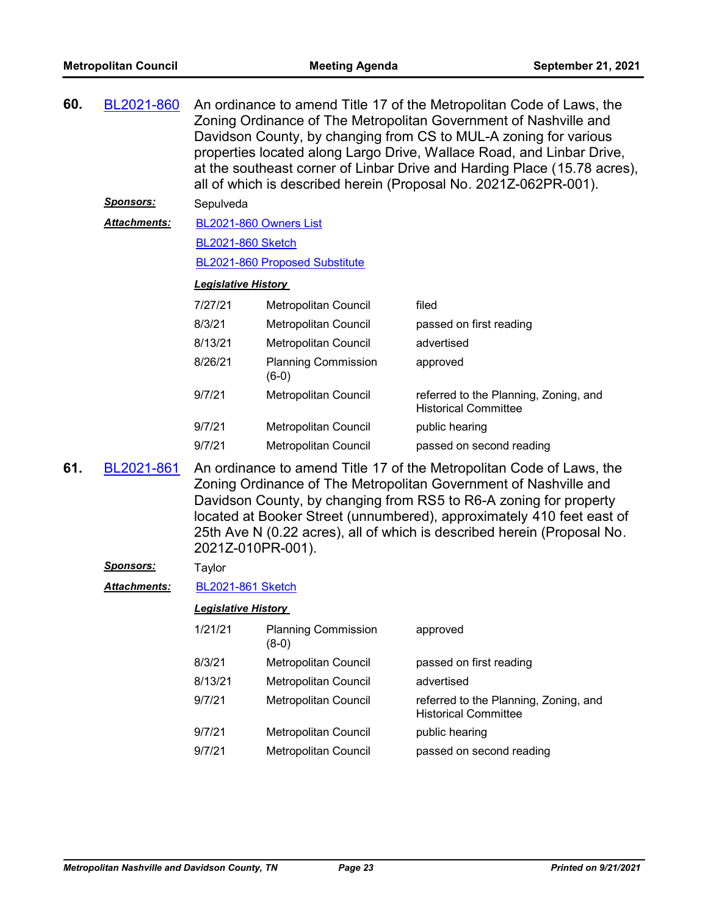| 60. | BL2021-860                 | An ordinance to amend Title 17 of the Metropolitan Code of Laws, the<br>Zoning Ordinance of The Metropolitan Government of Nashville and<br>Davidson County, by changing from CS to MUL-A zoning for various<br>properties located along Largo Drive, Wallace Road, and Linbar Drive,<br>at the southeast corner of Linbar Drive and Harding Place (15.78 acres),<br>all of which is described herein (Proposal No. 2021Z-062PR-001). |                                       |                                                                      |  |  |  |
|-----|----------------------------|---------------------------------------------------------------------------------------------------------------------------------------------------------------------------------------------------------------------------------------------------------------------------------------------------------------------------------------------------------------------------------------------------------------------------------------|---------------------------------------|----------------------------------------------------------------------|--|--|--|
|     |                            | <u>Sponsors:</u><br>Sepulveda                                                                                                                                                                                                                                                                                                                                                                                                         |                                       |                                                                      |  |  |  |
|     | <b>Attachments:</b>        | BL2021-860 Owners List                                                                                                                                                                                                                                                                                                                                                                                                                |                                       |                                                                      |  |  |  |
|     |                            | <b>BL2021-860 Sketch</b>                                                                                                                                                                                                                                                                                                                                                                                                              |                                       |                                                                      |  |  |  |
|     |                            | BL2021-860 Proposed Substitute                                                                                                                                                                                                                                                                                                                                                                                                        |                                       |                                                                      |  |  |  |
|     |                            | <b>Legislative History</b>                                                                                                                                                                                                                                                                                                                                                                                                            |                                       |                                                                      |  |  |  |
|     |                            | 7/27/21                                                                                                                                                                                                                                                                                                                                                                                                                               | Metropolitan Council                  | filed                                                                |  |  |  |
|     |                            | 8/3/21                                                                                                                                                                                                                                                                                                                                                                                                                                | Metropolitan Council                  | passed on first reading                                              |  |  |  |
|     |                            | 8/13/21                                                                                                                                                                                                                                                                                                                                                                                                                               | Metropolitan Council                  | advertised                                                           |  |  |  |
|     |                            | 8/26/21                                                                                                                                                                                                                                                                                                                                                                                                                               | <b>Planning Commission</b><br>$(6-0)$ | approved                                                             |  |  |  |
|     |                            | 9/7/21                                                                                                                                                                                                                                                                                                                                                                                                                                | Metropolitan Council                  | referred to the Planning, Zoning, and<br><b>Historical Committee</b> |  |  |  |
|     |                            | 9/7/21                                                                                                                                                                                                                                                                                                                                                                                                                                | Metropolitan Council                  | public hearing                                                       |  |  |  |
|     |                            | 9/7/21                                                                                                                                                                                                                                                                                                                                                                                                                                | Metropolitan Council                  | passed on second reading                                             |  |  |  |
| 61. | BL2021-861                 | An ordinance to amend Title 17 of the Metropolitan Code of Laws, the<br>Zoning Ordinance of The Metropolitan Government of Nashville and<br>Davidson County, by changing from RS5 to R6-A zoning for property<br>located at Booker Street (unnumbered), approximately 410 feet east of<br>25th Ave N (0.22 acres), all of which is described herein (Proposal No.<br>2021Z-010PR-001).                                                |                                       |                                                                      |  |  |  |
|     | <u>Sponsors:</u>           | Taylor                                                                                                                                                                                                                                                                                                                                                                                                                                |                                       |                                                                      |  |  |  |
|     | <b>Attachments:</b>        | <b>BL2021-861 Sketch</b>                                                                                                                                                                                                                                                                                                                                                                                                              |                                       |                                                                      |  |  |  |
|     | <b>Legislative History</b> |                                                                                                                                                                                                                                                                                                                                                                                                                                       |                                       |                                                                      |  |  |  |
|     |                            | 1/21/21                                                                                                                                                                                                                                                                                                                                                                                                                               | <b>Planning Commission</b><br>$(8-0)$ | approved                                                             |  |  |  |
|     |                            | 8/3/21                                                                                                                                                                                                                                                                                                                                                                                                                                | Metropolitan Council                  | passed on first reading                                              |  |  |  |
|     |                            | 8/13/21                                                                                                                                                                                                                                                                                                                                                                                                                               | Metropolitan Council                  | advertised                                                           |  |  |  |
|     |                            | 9/7/21                                                                                                                                                                                                                                                                                                                                                                                                                                | Metropolitan Council                  | referred to the Planning, Zoning, and<br><b>Historical Committee</b> |  |  |  |
|     |                            | 9/7/21                                                                                                                                                                                                                                                                                                                                                                                                                                | Metropolitan Council                  | public hearing                                                       |  |  |  |
|     |                            | 9/7/21                                                                                                                                                                                                                                                                                                                                                                                                                                | Metropolitan Council                  | passed on second reading                                             |  |  |  |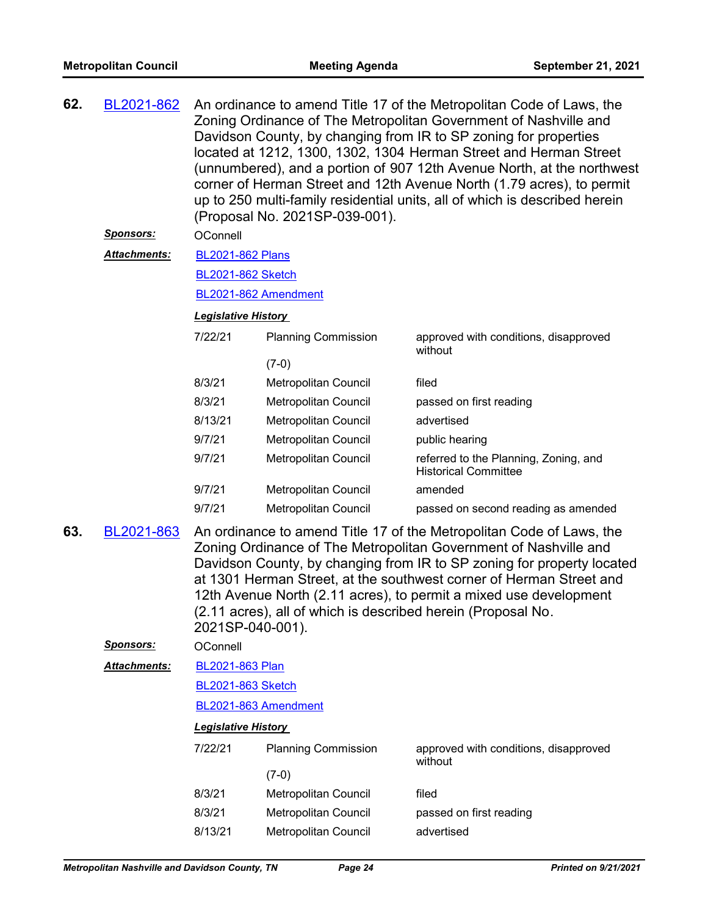| 62. | BL2021-862                                                                                                                                                                                                                                                                                                                                                                                                                     | An ordinance to amend Title 17 of the Metropolitan Code of Laws, the<br>Zoning Ordinance of The Metropolitan Government of Nashville and<br>Davidson County, by changing from IR to SP zoning for properties<br>located at 1212, 1300, 1302, 1304 Herman Street and Herman Street<br>(unnumbered), and a portion of 907 12th Avenue North, at the northwest<br>corner of Herman Street and 12th Avenue North (1.79 acres), to permit<br>up to 250 multi-family residential units, all of which is described herein<br>(Proposal No. 2021SP-039-001). |                            |                                                                      |  |  |  |
|-----|--------------------------------------------------------------------------------------------------------------------------------------------------------------------------------------------------------------------------------------------------------------------------------------------------------------------------------------------------------------------------------------------------------------------------------|------------------------------------------------------------------------------------------------------------------------------------------------------------------------------------------------------------------------------------------------------------------------------------------------------------------------------------------------------------------------------------------------------------------------------------------------------------------------------------------------------------------------------------------------------|----------------------------|----------------------------------------------------------------------|--|--|--|
|     | <u>Sponsors:</u>                                                                                                                                                                                                                                                                                                                                                                                                               | OConnell                                                                                                                                                                                                                                                                                                                                                                                                                                                                                                                                             |                            |                                                                      |  |  |  |
|     | Attachments:                                                                                                                                                                                                                                                                                                                                                                                                                   | <b>BL2021-862 Plans</b>                                                                                                                                                                                                                                                                                                                                                                                                                                                                                                                              |                            |                                                                      |  |  |  |
|     |                                                                                                                                                                                                                                                                                                                                                                                                                                | <b>BL2021-862 Sketch</b>                                                                                                                                                                                                                                                                                                                                                                                                                                                                                                                             |                            |                                                                      |  |  |  |
|     |                                                                                                                                                                                                                                                                                                                                                                                                                                | BL2021-862 Amendment                                                                                                                                                                                                                                                                                                                                                                                                                                                                                                                                 |                            |                                                                      |  |  |  |
|     |                                                                                                                                                                                                                                                                                                                                                                                                                                | <b>Legislative History</b>                                                                                                                                                                                                                                                                                                                                                                                                                                                                                                                           |                            |                                                                      |  |  |  |
|     |                                                                                                                                                                                                                                                                                                                                                                                                                                | 7/22/21                                                                                                                                                                                                                                                                                                                                                                                                                                                                                                                                              | <b>Planning Commission</b> | approved with conditions, disapproved<br>without                     |  |  |  |
|     |                                                                                                                                                                                                                                                                                                                                                                                                                                |                                                                                                                                                                                                                                                                                                                                                                                                                                                                                                                                                      | $(7-0)$                    |                                                                      |  |  |  |
|     |                                                                                                                                                                                                                                                                                                                                                                                                                                | 8/3/21                                                                                                                                                                                                                                                                                                                                                                                                                                                                                                                                               | Metropolitan Council       | filed                                                                |  |  |  |
|     |                                                                                                                                                                                                                                                                                                                                                                                                                                | 8/3/21                                                                                                                                                                                                                                                                                                                                                                                                                                                                                                                                               | Metropolitan Council       | passed on first reading                                              |  |  |  |
|     |                                                                                                                                                                                                                                                                                                                                                                                                                                | 8/13/21                                                                                                                                                                                                                                                                                                                                                                                                                                                                                                                                              | Metropolitan Council       | advertised                                                           |  |  |  |
|     |                                                                                                                                                                                                                                                                                                                                                                                                                                | 9/7/21                                                                                                                                                                                                                                                                                                                                                                                                                                                                                                                                               | Metropolitan Council       | public hearing                                                       |  |  |  |
|     |                                                                                                                                                                                                                                                                                                                                                                                                                                | 9/7/21                                                                                                                                                                                                                                                                                                                                                                                                                                                                                                                                               | Metropolitan Council       | referred to the Planning, Zoning, and<br><b>Historical Committee</b> |  |  |  |
|     |                                                                                                                                                                                                                                                                                                                                                                                                                                | 9/7/21                                                                                                                                                                                                                                                                                                                                                                                                                                                                                                                                               | Metropolitan Council       | amended                                                              |  |  |  |
|     |                                                                                                                                                                                                                                                                                                                                                                                                                                | 9/7/21                                                                                                                                                                                                                                                                                                                                                                                                                                                                                                                                               | Metropolitan Council       | passed on second reading as amended                                  |  |  |  |
| 63. | An ordinance to amend Title 17 of the Metropolitan Code of Laws, the<br>Zoning Ordinance of The Metropolitan Government of Nashville and<br>Davidson County, by changing from IR to SP zoning for property located<br>at 1301 Herman Street, at the southwest corner of Herman Street and<br>12th Avenue North (2.11 acres), to permit a mixed use development<br>(2.11 acres), all of which is described herein (Proposal No. |                                                                                                                                                                                                                                                                                                                                                                                                                                                                                                                                                      |                            |                                                                      |  |  |  |
|     | <b>Sponsors:</b>                                                                                                                                                                                                                                                                                                                                                                                                               | OConnell                                                                                                                                                                                                                                                                                                                                                                                                                                                                                                                                             |                            |                                                                      |  |  |  |
|     | Attachments:                                                                                                                                                                                                                                                                                                                                                                                                                   | BL2021-863 Plan                                                                                                                                                                                                                                                                                                                                                                                                                                                                                                                                      |                            |                                                                      |  |  |  |
|     |                                                                                                                                                                                                                                                                                                                                                                                                                                | <b>BL2021-863 Sketch</b>                                                                                                                                                                                                                                                                                                                                                                                                                                                                                                                             |                            |                                                                      |  |  |  |
|     |                                                                                                                                                                                                                                                                                                                                                                                                                                | BL2021-863 Amendment                                                                                                                                                                                                                                                                                                                                                                                                                                                                                                                                 |                            |                                                                      |  |  |  |
|     |                                                                                                                                                                                                                                                                                                                                                                                                                                | <b>Legislative History</b>                                                                                                                                                                                                                                                                                                                                                                                                                                                                                                                           |                            |                                                                      |  |  |  |
|     |                                                                                                                                                                                                                                                                                                                                                                                                                                | 7/22/21                                                                                                                                                                                                                                                                                                                                                                                                                                                                                                                                              | <b>Planning Commission</b> | approved with conditions, disapproved<br>without                     |  |  |  |
|     |                                                                                                                                                                                                                                                                                                                                                                                                                                |                                                                                                                                                                                                                                                                                                                                                                                                                                                                                                                                                      | $(7-0)$                    |                                                                      |  |  |  |
|     |                                                                                                                                                                                                                                                                                                                                                                                                                                | 8/3/21                                                                                                                                                                                                                                                                                                                                                                                                                                                                                                                                               | Metropolitan Council       | filed                                                                |  |  |  |
|     |                                                                                                                                                                                                                                                                                                                                                                                                                                | 8/3/21                                                                                                                                                                                                                                                                                                                                                                                                                                                                                                                                               | Metropolitan Council       | passed on first reading                                              |  |  |  |
|     |                                                                                                                                                                                                                                                                                                                                                                                                                                | 8/13/21                                                                                                                                                                                                                                                                                                                                                                                                                                                                                                                                              | Metropolitan Council       | advertised                                                           |  |  |  |